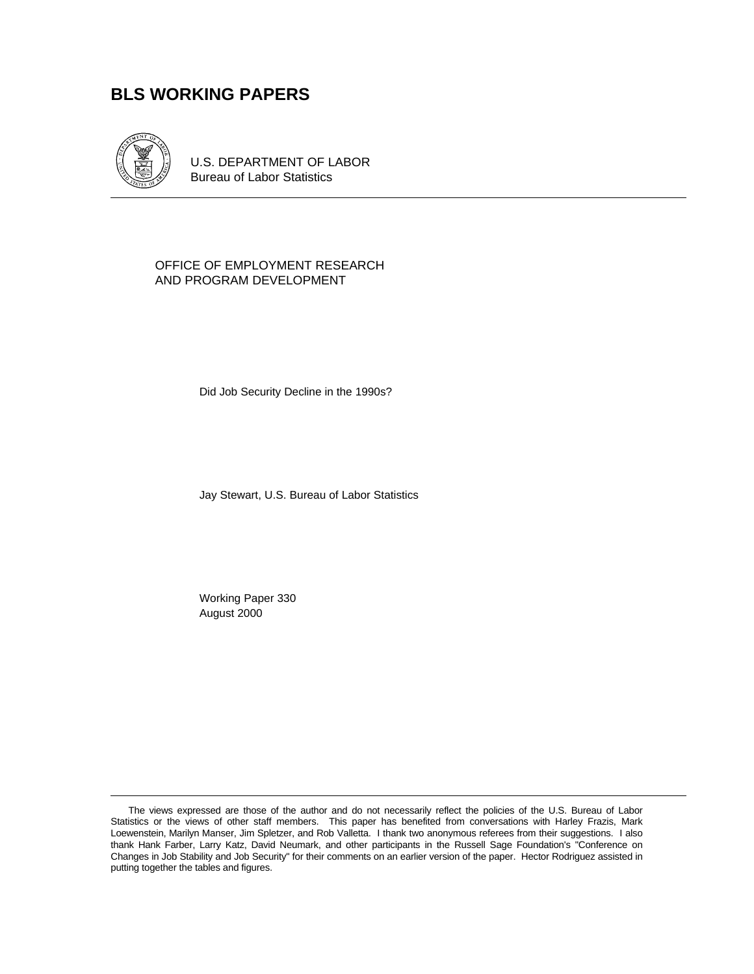# **BLS WORKING PAPERS**



U.S. DEPARTMENT OF LABOR Bureau of Labor Statistics

#### OFFICE OF EMPLOYMENT RESEARCH AND PROGRAM DEVELOPMENT

Did Job Security Decline in the 1990s?

Jay Stewart, U.S. Bureau of Labor Statistics

Working Paper 330 August 2000

The views expressed are those of the author and do not necessarily reflect the policies of the U.S. Bureau of Labor Statistics or the views of other staff members. This paper has benefited from conversations with Harley Frazis, Mark Loewenstein, Marilyn Manser, Jim Spletzer, and Rob Valletta. I thank two anonymous referees from their suggestions. I also thank Hank Farber, Larry Katz, David Neumark, and other participants in the Russell Sage Foundation's "Conference on Changes in Job Stability and Job Security" for their comments on an earlier version of the paper. Hector Rodriguez assisted in putting together the tables and figures.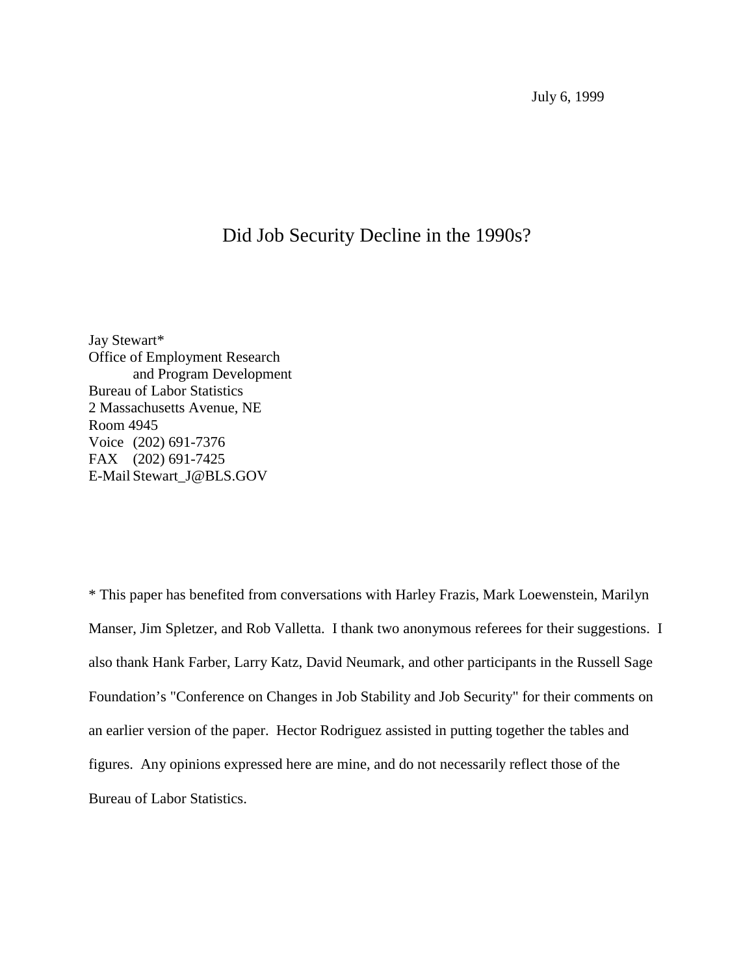July 6, 1999

# Did Job Security Decline in the 1990s?

Jay Stewart\* Office of Employment Research and Program Development Bureau of Labor Statistics 2 Massachusetts Avenue, NE Room 4945 Voice (202) 691-7376 FAX (202) 691-7425 E-Mail Stewart\_J@BLS.GOV

\* This paper has benefited from conversations with Harley Frazis, Mark Loewenstein, Marilyn Manser, Jim Spletzer, and Rob Valletta. I thank two anonymous referees for their suggestions. I also thank Hank Farber, Larry Katz, David Neumark, and other participants in the Russell Sage Foundation's "Conference on Changes in Job Stability and Job Security" for their comments on an earlier version of the paper. Hector Rodriguez assisted in putting together the tables and figures. Any opinions expressed here are mine, and do not necessarily reflect those of the Bureau of Labor Statistics.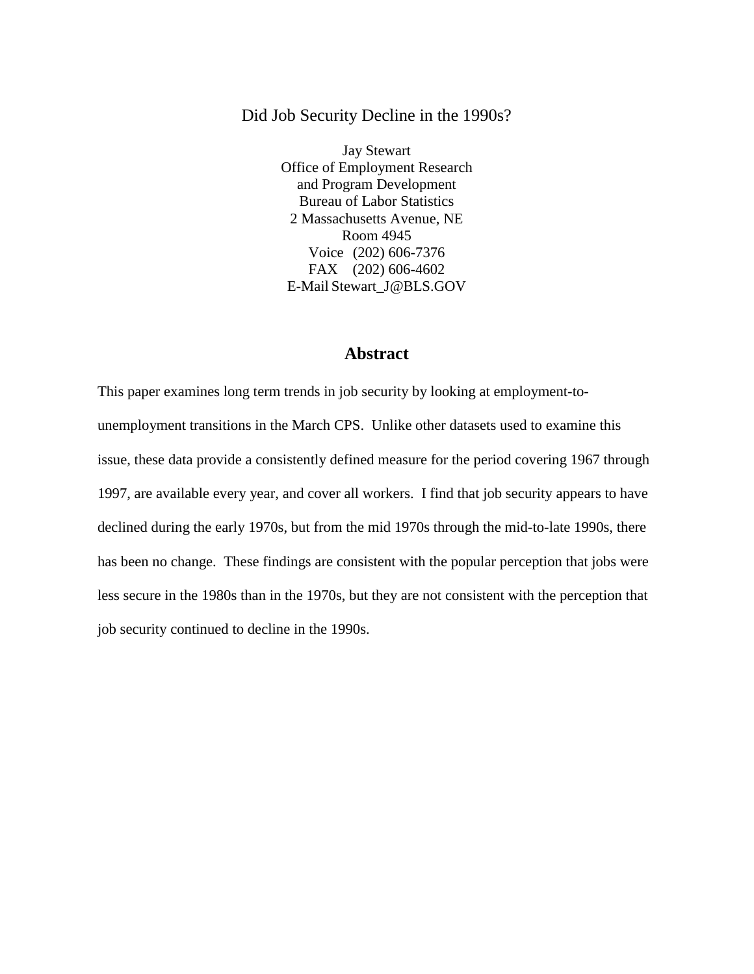## Did Job Security Decline in the 1990s?

Jay Stewart Office of Employment Research and Program Development Bureau of Labor Statistics 2 Massachusetts Avenue, NE Room 4945 Voice (202) 606-7376 FAX (202) 606-4602 E-Mail Stewart\_J@BLS.GOV

# **Abstract**

This paper examines long term trends in job security by looking at employment-tounemployment transitions in the March CPS. Unlike other datasets used to examine this issue, these data provide a consistently defined measure for the period covering 1967 through 1997, are available every year, and cover all workers. I find that job security appears to have declined during the early 1970s, but from the mid 1970s through the mid-to-late 1990s, there has been no change. These findings are consistent with the popular perception that jobs were less secure in the 1980s than in the 1970s, but they are not consistent with the perception that job security continued to decline in the 1990s.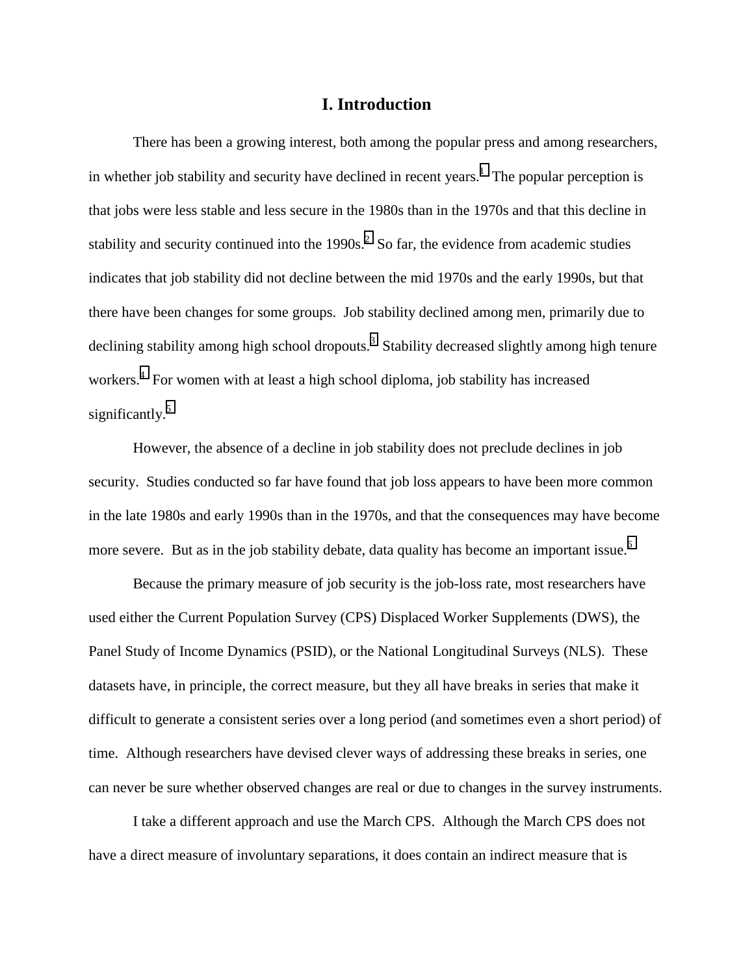## **I. Introduction**

There has been a growing interest, both among the popular press and among researchers, in whether job stability and security have declined in recent years.<sup>[1](#page-38-0)</sup> The popular perception is that jobs were less stable and less secure in the 1980s than in the 1970s and that this decline in stability and security continued into the 1990s.<sup>[2](#page-38-0)</sup> So far, the evidence from academic studies indicates that job stability did not decline between the mid 1970s and the early 1990s, but that there have been changes for some groups. Job stability declined among men, primarily due to declining stability among high school dropouts.<sup>[3](#page-38-0)</sup> Stability decreased slightly among high tenure workers.<sup>[4](#page-38-0)</sup> For women with at least a high school diploma, job stability has increased significantly.<sup>[5](#page-38-0)</sup>

However, the absence of a decline in job stability does not preclude declines in job security. Studies conducted so far have found that job loss appears to have been more common in the late 1980s and early 1990s than in the 1970s, and that the consequences may have become more severe. But as in the job stability debate, data quality has become an important issue.<sup>[6](#page-38-0)</sup>

Because the primary measure of job security is the job-loss rate, most researchers have used either the Current Population Survey (CPS) Displaced Worker Supplements (DWS), the Panel Study of Income Dynamics (PSID), or the National Longitudinal Surveys (NLS). These datasets have, in principle, the correct measure, but they all have breaks in series that make it difficult to generate a consistent series over a long period (and sometimes even a short period) of time. Although researchers have devised clever ways of addressing these breaks in series, one can never be sure whether observed changes are real or due to changes in the survey instruments.

I take a different approach and use the March CPS. Although the March CPS does not have a direct measure of involuntary separations, it does contain an indirect measure that is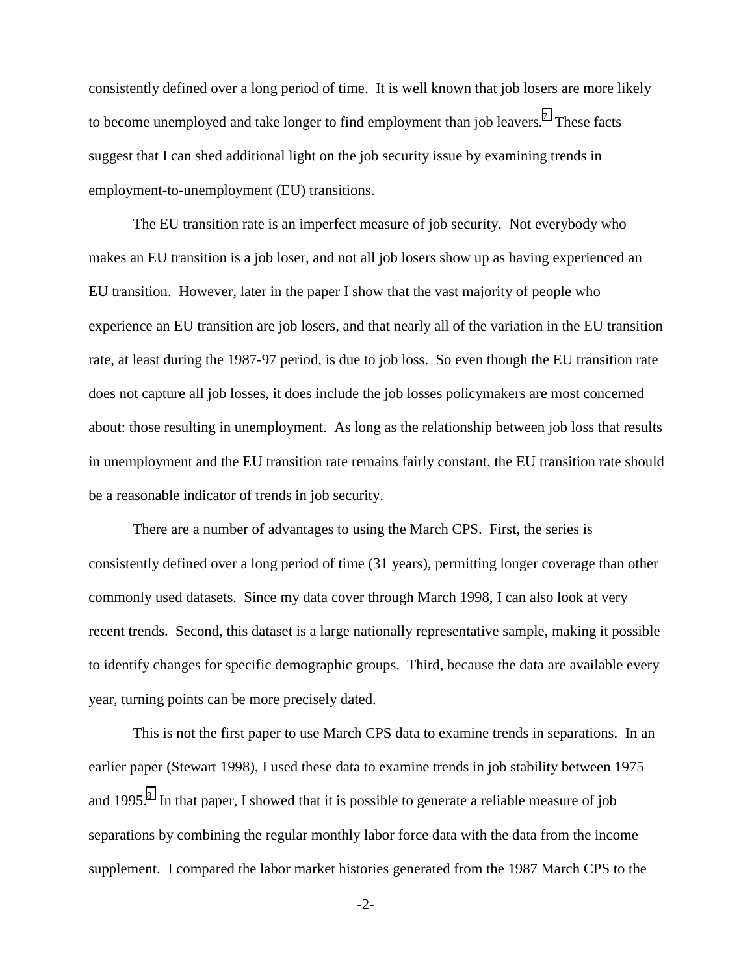consistently defined over a long period of time. It is well known that job losers are more likely to become unemployed and take longer to find employment than job leavers.<sup>[7](#page-38-0)</sup> These facts suggest that I can shed additional light on the job security issue by examining trends in employment-to-unemployment (EU) transitions.

The EU transition rate is an imperfect measure of job security. Not everybody who makes an EU transition is a job loser, and not all job losers show up as having experienced an EU transition. However, later in the paper I show that the vast majority of people who experience an EU transition are job losers, and that nearly all of the variation in the EU transition rate, at least during the 1987-97 period, is due to job loss. So even though the EU transition rate does not capture all job losses, it does include the job losses policymakers are most concerned about: those resulting in unemployment. As long as the relationship between job loss that results in unemployment and the EU transition rate remains fairly constant, the EU transition rate should be a reasonable indicator of trends in job security.

There are a number of advantages to using the March CPS. First, the series is consistently defined over a long period of time (31 years), permitting longer coverage than other commonly used datasets. Since my data cover through March 1998, I can also look at very recent trends. Second, this dataset is a large nationally representative sample, making it possible to identify changes for specific demographic groups. Third, because the data are available every year, turning points can be more precisely dated.

This is not the first paper to use March CPS data to examine trends in separations. In an earlier paper (Stewart 1998), I used these data to examine trends in job stability between 1975 and 1995. $8$  In that paper, I showed that it is possible to generate a reliable measure of job separations by combining the regular monthly labor force data with the data from the income supplement. I compared the labor market histories generated from the 1987 March CPS to the

-2-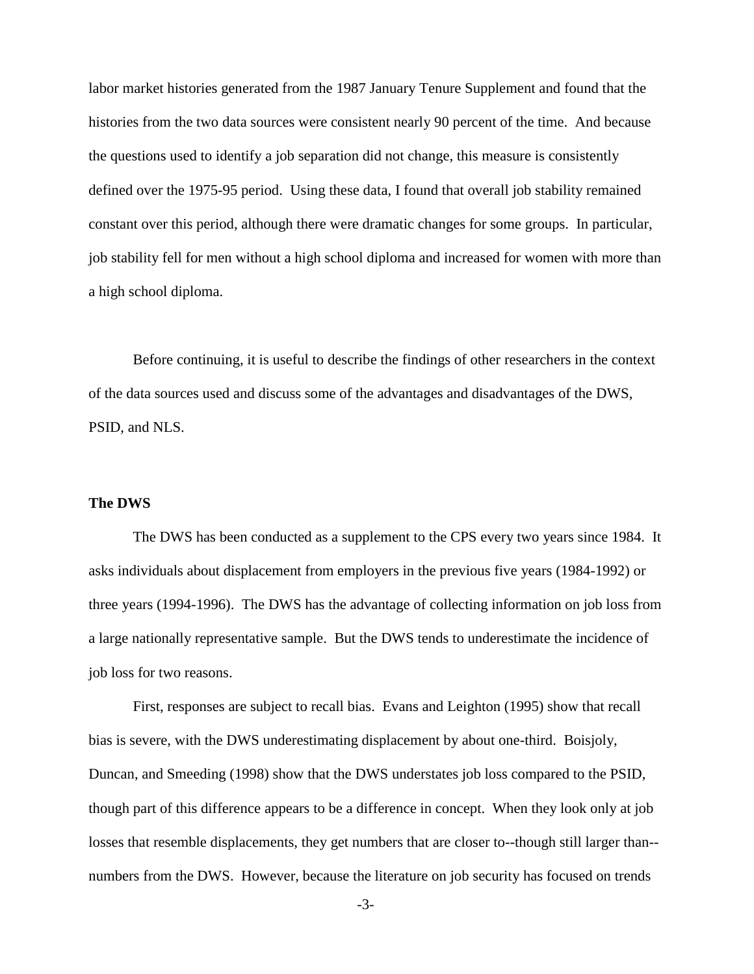labor market histories generated from the 1987 January Tenure Supplement and found that the histories from the two data sources were consistent nearly 90 percent of the time. And because the questions used to identify a job separation did not change, this measure is consistently defined over the 1975-95 period. Using these data, I found that overall job stability remained constant over this period, although there were dramatic changes for some groups. In particular, job stability fell for men without a high school diploma and increased for women with more than a high school diploma.

Before continuing, it is useful to describe the findings of other researchers in the context of the data sources used and discuss some of the advantages and disadvantages of the DWS, PSID, and NLS.

## **The DWS**

The DWS has been conducted as a supplement to the CPS every two years since 1984. It asks individuals about displacement from employers in the previous five years (1984-1992) or three years (1994-1996). The DWS has the advantage of collecting information on job loss from a large nationally representative sample. But the DWS tends to underestimate the incidence of job loss for two reasons.

First, responses are subject to recall bias. Evans and Leighton (1995) show that recall bias is severe, with the DWS underestimating displacement by about one-third. Boisjoly, Duncan, and Smeeding (1998) show that the DWS understates job loss compared to the PSID, though part of this difference appears to be a difference in concept. When they look only at job losses that resemble displacements, they get numbers that are closer to--though still larger than- numbers from the DWS. However, because the literature on job security has focused on trends

-3-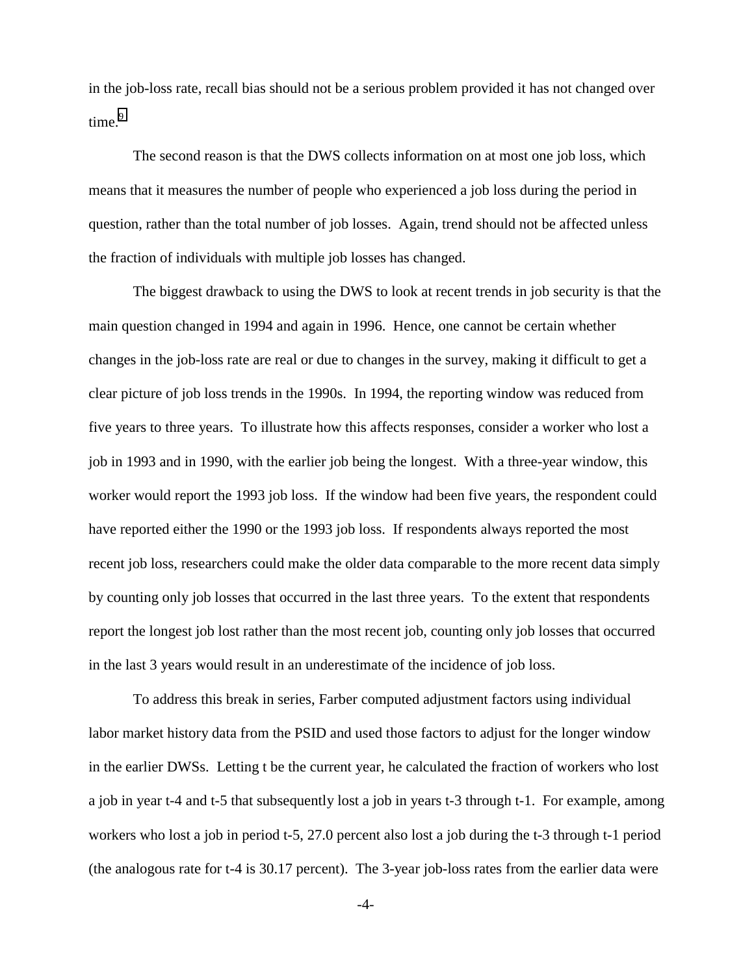in the job-loss rate, recall bias should not be a serious problem provided it has not changed over time.<sup>9</sup>

The second reason is that the DWS collects information on at most one job loss, which means that it measures the number of people who experienced a job loss during the period in question, rather than the total number of job losses. Again, trend should not be affected unless the fraction of individuals with multiple job losses has changed.

The biggest drawback to using the DWS to look at recent trends in job security is that the main question changed in 1994 and again in 1996. Hence, one cannot be certain whether changes in the job-loss rate are real or due to changes in the survey, making it difficult to get a clear picture of job loss trends in the 1990s. In 1994, the reporting window was reduced from five years to three years. To illustrate how this affects responses, consider a worker who lost a job in 1993 and in 1990, with the earlier job being the longest. With a three-year window, this worker would report the 1993 job loss. If the window had been five years, the respondent could have reported either the 1990 or the 1993 job loss. If respondents always reported the most recent job loss, researchers could make the older data comparable to the more recent data simply by counting only job losses that occurred in the last three years. To the extent that respondents report the longest job lost rather than the most recent job, counting only job losses that occurred in the last 3 years would result in an underestimate of the incidence of job loss.

To address this break in series, Farber computed adjustment factors using individual labor market history data from the PSID and used those factors to adjust for the longer window in the earlier DWSs. Letting t be the current year, he calculated the fraction of workers who lost a job in year t-4 and t-5 that subsequently lost a job in years t-3 through t-1. For example, among workers who lost a job in period t-5, 27.0 percent also lost a job during the t-3 through t-1 period (the analogous rate for t-4 is 30.17 percent). The 3-year job-loss rates from the earlier data were

-4-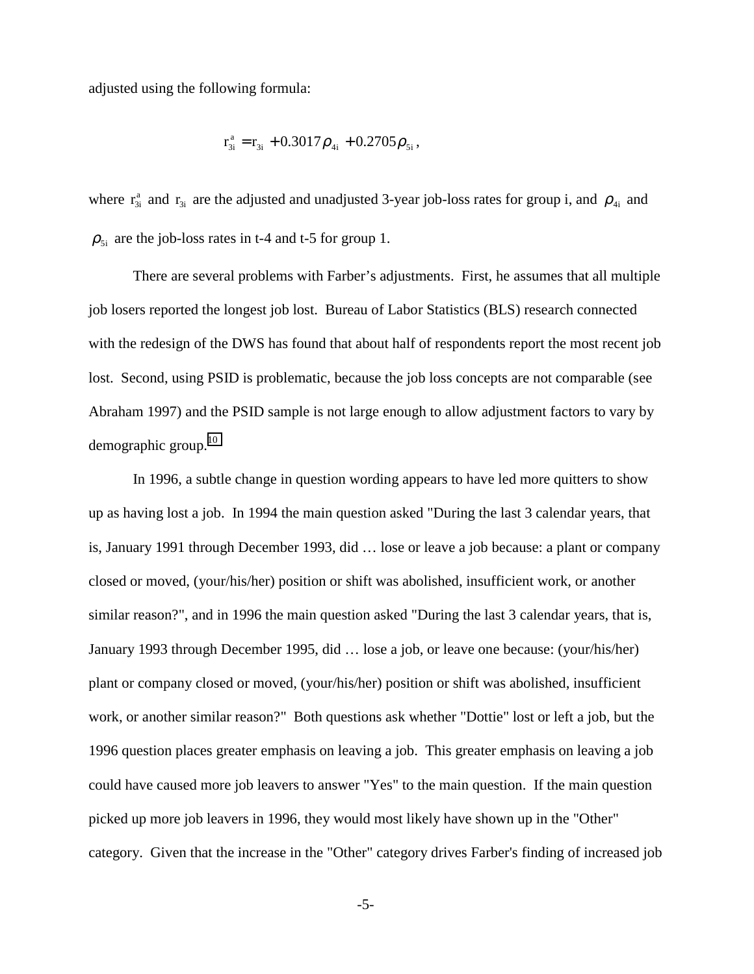adjusted using the following formula:

$$
r_{3i}^a = r_{3i} + 0.3017 \rho_{4i} + 0.2705 \rho_{5i},
$$

where  $r_{3i}^a$  and  $r_{3i}$  are the adjusted and unadjusted 3-year job-loss rates for group i, and  $\rho_{4i}$  and  $\rho_{5i}$  are the job-loss rates in t-4 and t-5 for group 1.

There are several problems with Farber's adjustments. First, he assumes that all multiple job losers reported the longest job lost. Bureau of Labor Statistics (BLS) research connected with the redesign of the DWS has found that about half of respondents report the most recent job lost. Second, using PSID is problematic, because the job loss concepts are not comparable (see Abraham 1997) and the PSID sample is not large enough to allow adjustment factors to vary by demographic group. $10$ 

In 1996, a subtle change in question wording appears to have led more quitters to show up as having lost a job. In 1994 the main question asked "During the last 3 calendar years, that is, January 1991 through December 1993, did … lose or leave a job because: a plant or company closed or moved, (your/his/her) position or shift was abolished, insufficient work, or another similar reason?", and in 1996 the main question asked "During the last 3 calendar years, that is, January 1993 through December 1995, did … lose a job, or leave one because: (your/his/her) plant or company closed or moved, (your/his/her) position or shift was abolished, insufficient work, or another similar reason?" Both questions ask whether "Dottie" lost or left a job, but the 1996 question places greater emphasis on leaving a job. This greater emphasis on leaving a job could have caused more job leavers to answer "Yes" to the main question. If the main question picked up more job leavers in 1996, they would most likely have shown up in the "Other" category. Given that the increase in the "Other" category drives Farber's finding of increased job

-5-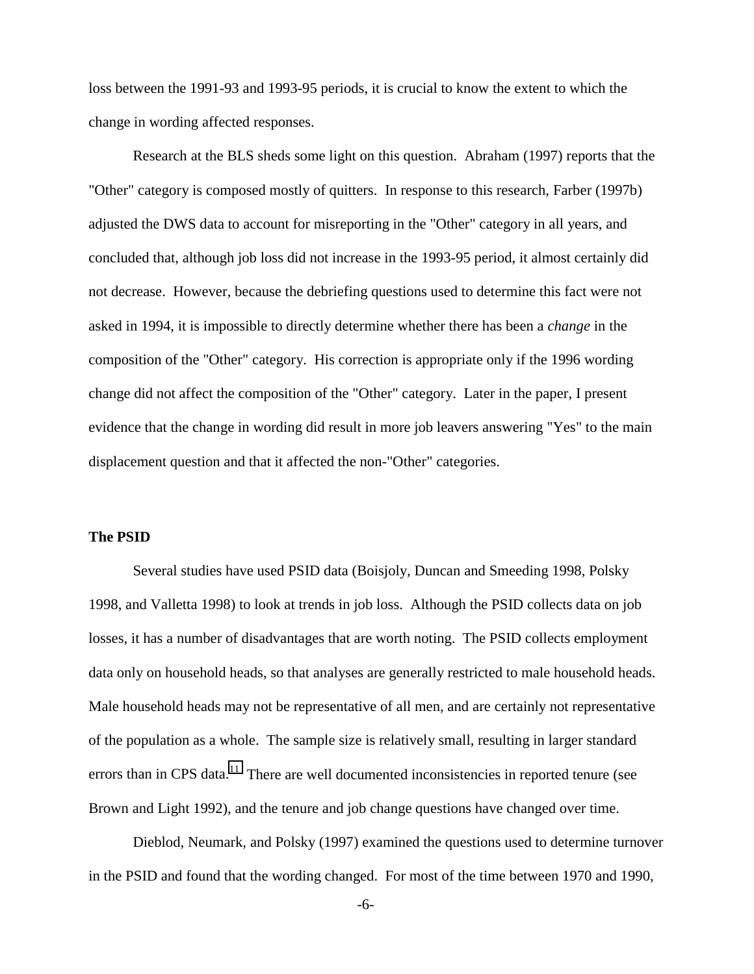loss between the 1991-93 and 1993-95 periods, it is crucial to know the extent to which the change in wording affected responses.

Research at the BLS sheds some light on this question. Abraham (1997) reports that the "Other" category is composed mostly of quitters. In response to this research, Farber (1997b) adjusted the DWS data to account for misreporting in the "Other" category in all years, and concluded that, although job loss did not increase in the 1993-95 period, it almost certainly did not decrease. However, because the debriefing questions used to determine this fact were not asked in 1994, it is impossible to directly determine whether there has been a *change* in the composition of the "Other" category. His correction is appropriate only if the 1996 wording change did not affect the composition of the "Other" category. Later in the paper, I present evidence that the change in wording did result in more job leavers answering "Yes" to the main displacement question and that it affected the non-"Other" categories.

## **The PSID**

Several studies have used PSID data (Boisjoly, Duncan and Smeeding 1998, Polsky 1998, and Valletta 1998) to look at trends in job loss. Although the PSID collects data on job losses, it has a number of disadvantages that are worth noting. The PSID collects employment data only on household heads, so that analyses are generally restricted to male household heads. Male household heads may not be representative of all men, and are certainly not representative of the population as a whole. The sample size is relatively small, resulting in larger standard errors than in CPS data.<sup>11</sup> There are well documented inconsistencies in reported tenure (see Brown and Light 1992), and the tenure and job change questions have changed over time.

Dieblod, Neumark, and Polsky (1997) examined the questions used to determine turnover in the PSID and found that the wording changed. For most of the time between 1970 and 1990,

-6-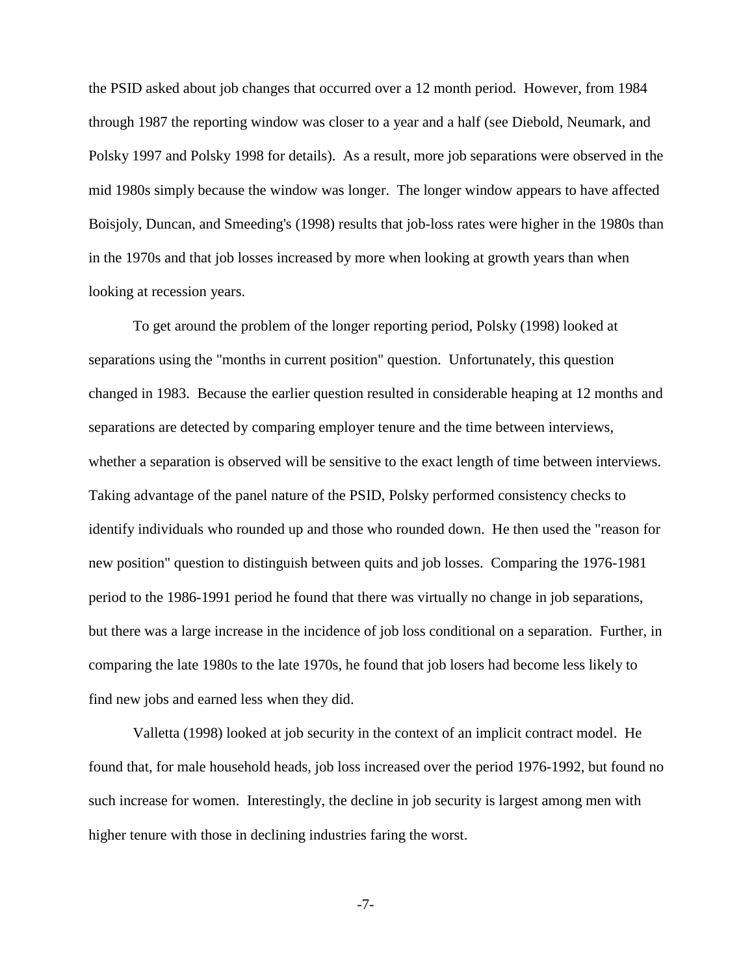the PSID asked about job changes that occurred over a 12 month period. However, from 1984 through 1987 the reporting window was closer to a year and a half (see Diebold, Neumark, and Polsky 1997 and Polsky 1998 for details). As a result, more job separations were observed in the mid 1980s simply because the window was longer. The longer window appears to have affected Boisjoly, Duncan, and Smeeding's (1998) results that job-loss rates were higher in the 1980s than in the 1970s and that job losses increased by more when looking at growth years than when looking at recession years.

To get around the problem of the longer reporting period, Polsky (1998) looked at separations using the "months in current position" question. Unfortunately, this question changed in 1983. Because the earlier question resulted in considerable heaping at 12 months and separations are detected by comparing employer tenure and the time between interviews, whether a separation is observed will be sensitive to the exact length of time between interviews. Taking advantage of the panel nature of the PSID, Polsky performed consistency checks to identify individuals who rounded up and those who rounded down. He then used the "reason for new position" question to distinguish between quits and job losses. Comparing the 1976-1981 period to the 1986-1991 period he found that there was virtually no change in job separations, but there was a large increase in the incidence of job loss conditional on a separation. Further, in comparing the late 1980s to the late 1970s, he found that job losers had become less likely to find new jobs and earned less when they did.

Valletta (1998) looked at job security in the context of an implicit contract model. He found that, for male household heads, job loss increased over the period 1976-1992, but found no such increase for women. Interestingly, the decline in job security is largest among men with higher tenure with those in declining industries faring the worst.

-7-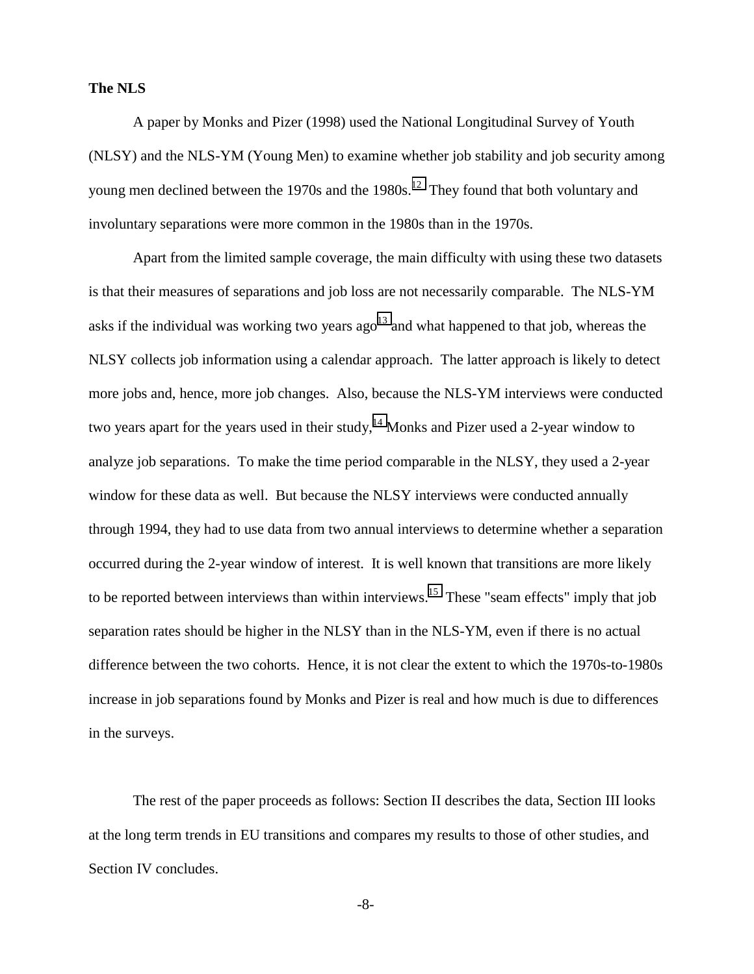## **The NLS**

A paper by Monks and Pizer (1998) used the National Longitudinal Survey of Youth (NLSY) and the NLS-YM (Young Men) to examine whether job stability and job security among young men declined between the 1970s and the  $1980s$ .<sup>12</sup> They found that both voluntary and involuntary separations were more common in the 1980s than in the 1970s.

Apart from the limited sample coverage, the main difficulty with using these two datasets is that their measures of separations and job loss are not necessarily comparable. The NLS-YM asks if the individual was working two years  $ago^{13}$  and what happened to that job, whereas the NLSY collects job information using a calendar approach. The latter approach is likely to detect more jobs and, hence, more job changes. Also, because the NLS-YM interviews were conducted two years apart for the years used in their study,<sup>14</sup> Monks and Pizer used a 2-year window to analyze job separations. To make the time period comparable in the NLSY, they used a 2-year window for these data as well. But because the NLSY interviews were conducted annually through 1994, they had to use data from two annual interviews to determine whether a separation occurred during the 2-year window of interest. It is well known that transitions are more likely to be reported between interviews than within interviews.<sup>15</sup> These "seam effects" imply that job separation rates should be higher in the NLSY than in the NLS-YM, even if there is no actual difference between the two cohorts. Hence, it is not clear the extent to which the 1970s-to-1980s increase in job separations found by Monks and Pizer is real and how much is due to differences in the surveys.

The rest of the paper proceeds as follows: Section II describes the data, Section III looks at the long term trends in EU transitions and compares my results to those of other studies, and Section IV concludes.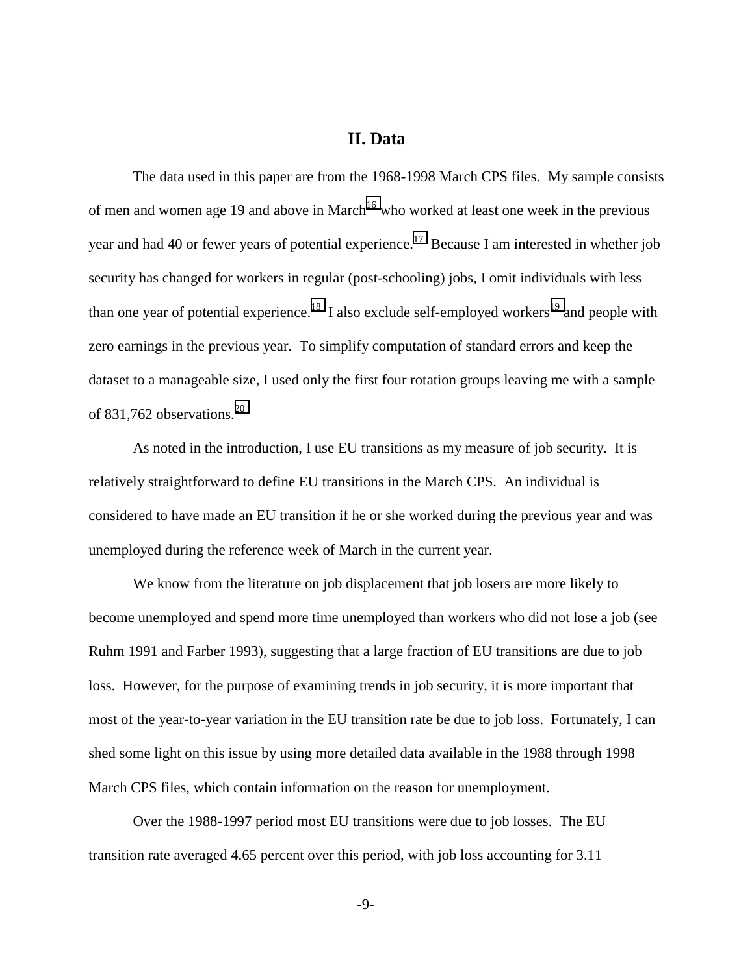# **II. Data**

The data used in this paper are from the 1968-1998 March CPS files. My sample consists of men and women age 19 and above in March<sup>16</sup> who worked at least one week in the previous year and had 40 or fewer years of potential experience.<sup>17</sup> Because I am interested in whether job security has changed for workers in regular (post-schooling) jobs, I omit individuals with less than one year of potential experience.<sup>18</sup> I also exclude self-employed workers<sup>19</sup> and people with zero earnings in the previous year. To simplify computation of standard errors and keep the dataset to a manageable size, I used only the first four rotation groups leaving me with a sample of 831,762 observations.<sup>[20](#page-38-0)</sup>

As noted in the introduction, I use EU transitions as my measure of job security. It is relatively straightforward to define EU transitions in the March CPS. An individual is considered to have made an EU transition if he or she worked during the previous year and was unemployed during the reference week of March in the current year.

We know from the literature on job displacement that job losers are more likely to become unemployed and spend more time unemployed than workers who did not lose a job (see Ruhm 1991 and Farber 1993), suggesting that a large fraction of EU transitions are due to job loss. However, for the purpose of examining trends in job security, it is more important that most of the year-to-year variation in the EU transition rate be due to job loss. Fortunately, I can shed some light on this issue by using more detailed data available in the 1988 through 1998 March CPS files, which contain information on the reason for unemployment.

Over the 1988-1997 period most EU transitions were due to job losses. The EU transition rate averaged 4.65 percent over this period, with job loss accounting for 3.11

-9-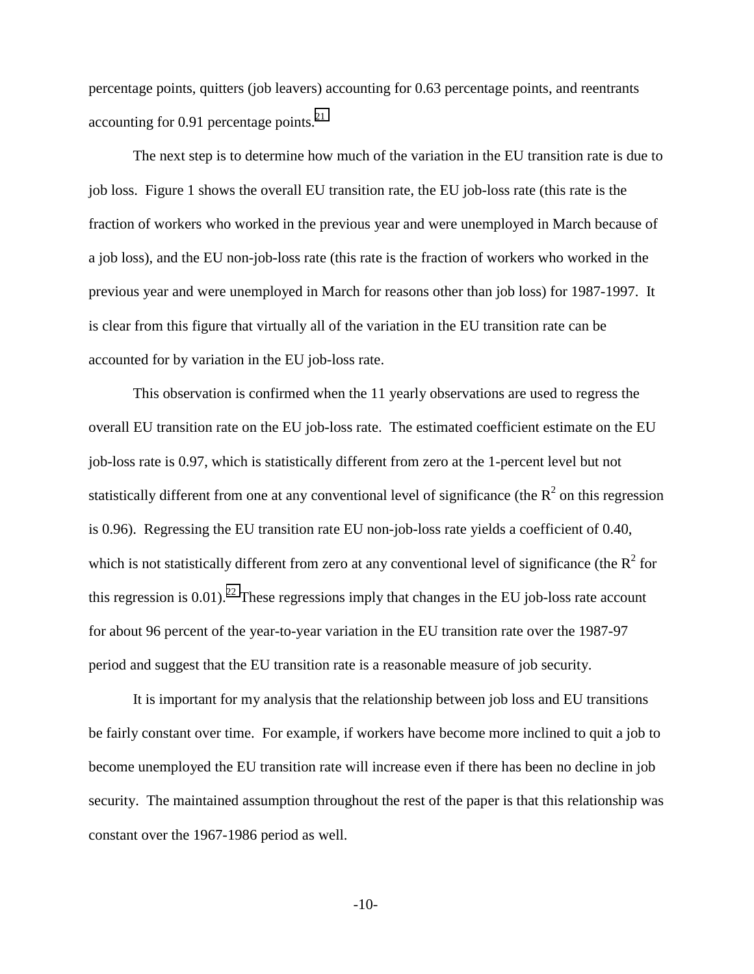percentage points, quitters (job leavers) accounting for 0.63 percentage points, and reentrants accounting for 0.91 percentage points. $^{21}$  $^{21}$  $^{21}$ 

The next step is to determine how much of the variation in the EU transition rate is due to job loss. Figure 1 shows the overall EU transition rate, the EU job-loss rate (this rate is the fraction of workers who worked in the previous year and were unemployed in March because of a job loss), and the EU non-job-loss rate (this rate is the fraction of workers who worked in the previous year and were unemployed in March for reasons other than job loss) for 1987-1997. It is clear from this figure that virtually all of the variation in the EU transition rate can be accounted for by variation in the EU job-loss rate.

This observation is confirmed when the 11 yearly observations are used to regress the overall EU transition rate on the EU job-loss rate. The estimated coefficient estimate on the EU job-loss rate is 0.97, which is statistically different from zero at the 1-percent level but not statistically different from one at any conventional level of significance (the  $R^2$  on this regression is 0.96). Regressing the EU transition rate EU non-job-loss rate yields a coefficient of 0.40, which is not statistically different from zero at any conventional level of significance (the  $R^2$  for this regression is  $0.01$ ).<sup>22</sup> These regressions imply that changes in the EU job-loss rate account for about 96 percent of the year-to-year variation in the EU transition rate over the 1987-97 period and suggest that the EU transition rate is a reasonable measure of job security.

It is important for my analysis that the relationship between job loss and EU transitions be fairly constant over time. For example, if workers have become more inclined to quit a job to become unemployed the EU transition rate will increase even if there has been no decline in job security. The maintained assumption throughout the rest of the paper is that this relationship was constant over the 1967-1986 period as well.

-10-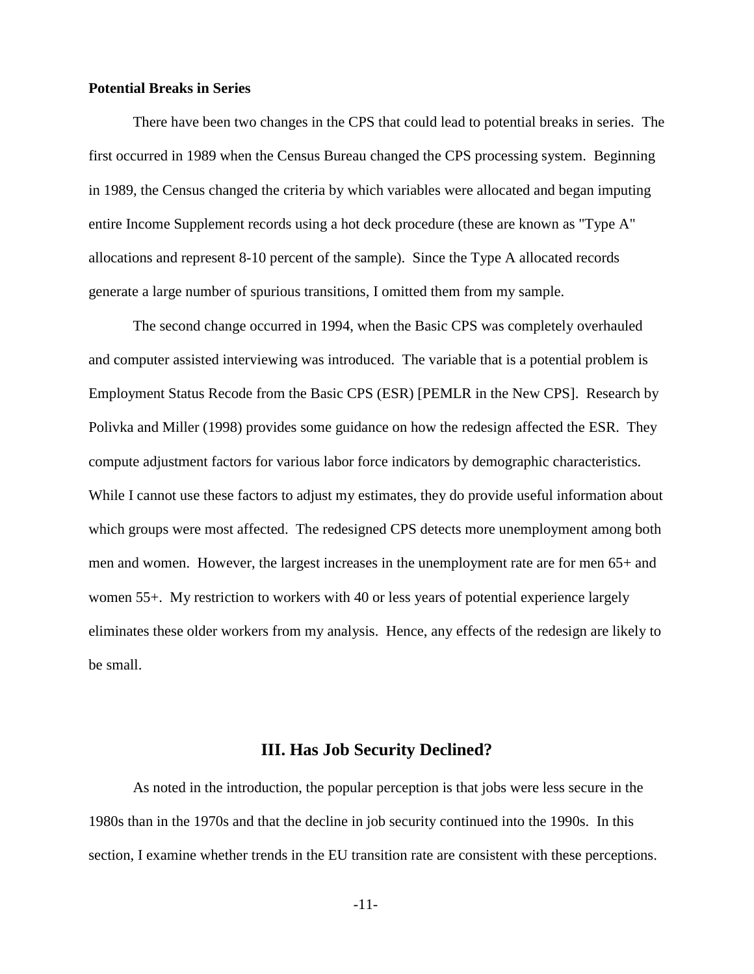## **Potential Breaks in Series**

There have been two changes in the CPS that could lead to potential breaks in series. The first occurred in 1989 when the Census Bureau changed the CPS processing system. Beginning in 1989, the Census changed the criteria by which variables were allocated and began imputing entire Income Supplement records using a hot deck procedure (these are known as "Type A" allocations and represent 8-10 percent of the sample). Since the Type A allocated records generate a large number of spurious transitions, I omitted them from my sample.

The second change occurred in 1994, when the Basic CPS was completely overhauled and computer assisted interviewing was introduced. The variable that is a potential problem is Employment Status Recode from the Basic CPS (ESR) [PEMLR in the New CPS]. Research by Polivka and Miller (1998) provides some guidance on how the redesign affected the ESR. They compute adjustment factors for various labor force indicators by demographic characteristics. While I cannot use these factors to adjust my estimates, they do provide useful information about which groups were most affected. The redesigned CPS detects more unemployment among both men and women. However, the largest increases in the unemployment rate are for men 65+ and women 55+. My restriction to workers with 40 or less years of potential experience largely eliminates these older workers from my analysis. Hence, any effects of the redesign are likely to be small.

## **III. Has Job Security Declined?**

As noted in the introduction, the popular perception is that jobs were less secure in the 1980s than in the 1970s and that the decline in job security continued into the 1990s. In this section, I examine whether trends in the EU transition rate are consistent with these perceptions.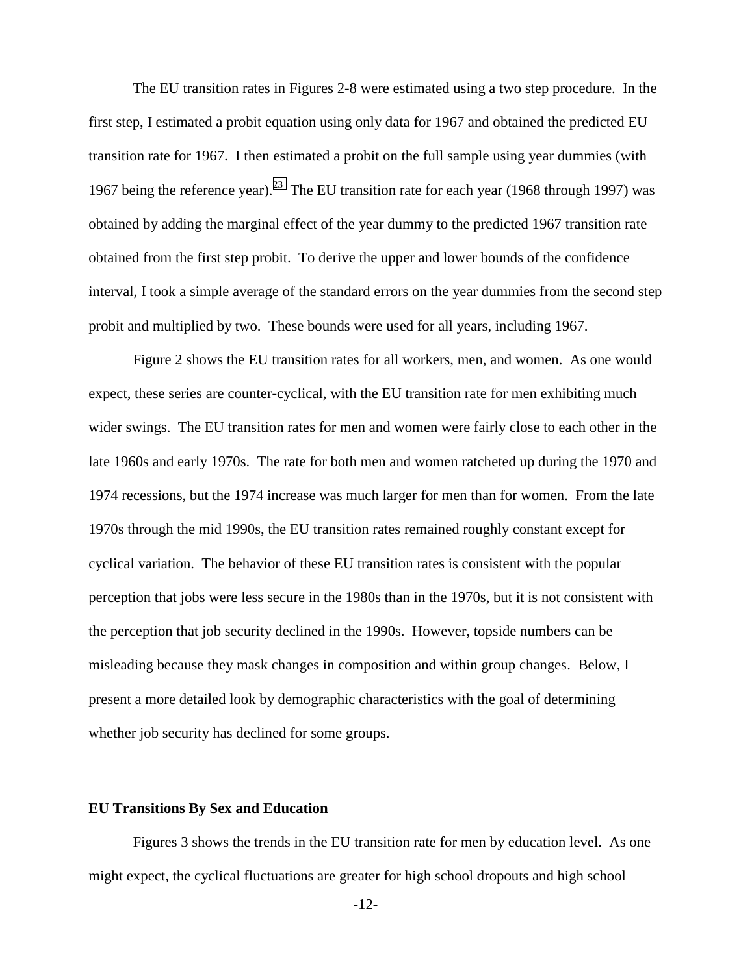The EU transition rates in Figures 2-8 were estimated using a two step procedure. In the first step, I estimated a probit equation using only data for 1967 and obtained the predicted EU transition rate for 1967. I then estimated a probit on the full sample using year dummies (with 1967 being the reference year).<sup>23</sup> The EU transition rate for each year (1968 through 1997) was obtained by adding the marginal effect of the year dummy to the predicted 1967 transition rate obtained from the first step probit. To derive the upper and lower bounds of the confidence interval, I took a simple average of the standard errors on the year dummies from the second step probit and multiplied by two. These bounds were used for all years, including 1967.

Figure 2 shows the EU transition rates for all workers, men, and women. As one would expect, these series are counter-cyclical, with the EU transition rate for men exhibiting much wider swings. The EU transition rates for men and women were fairly close to each other in the late 1960s and early 1970s. The rate for both men and women ratcheted up during the 1970 and 1974 recessions, but the 1974 increase was much larger for men than for women. From the late 1970s through the mid 1990s, the EU transition rates remained roughly constant except for cyclical variation. The behavior of these EU transition rates is consistent with the popular perception that jobs were less secure in the 1980s than in the 1970s, but it is not consistent with the perception that job security declined in the 1990s. However, topside numbers can be misleading because they mask changes in composition and within group changes. Below, I present a more detailed look by demographic characteristics with the goal of determining whether job security has declined for some groups.

#### **EU Transitions By Sex and Education**

Figures 3 shows the trends in the EU transition rate for men by education level. As one might expect, the cyclical fluctuations are greater for high school dropouts and high school

-12-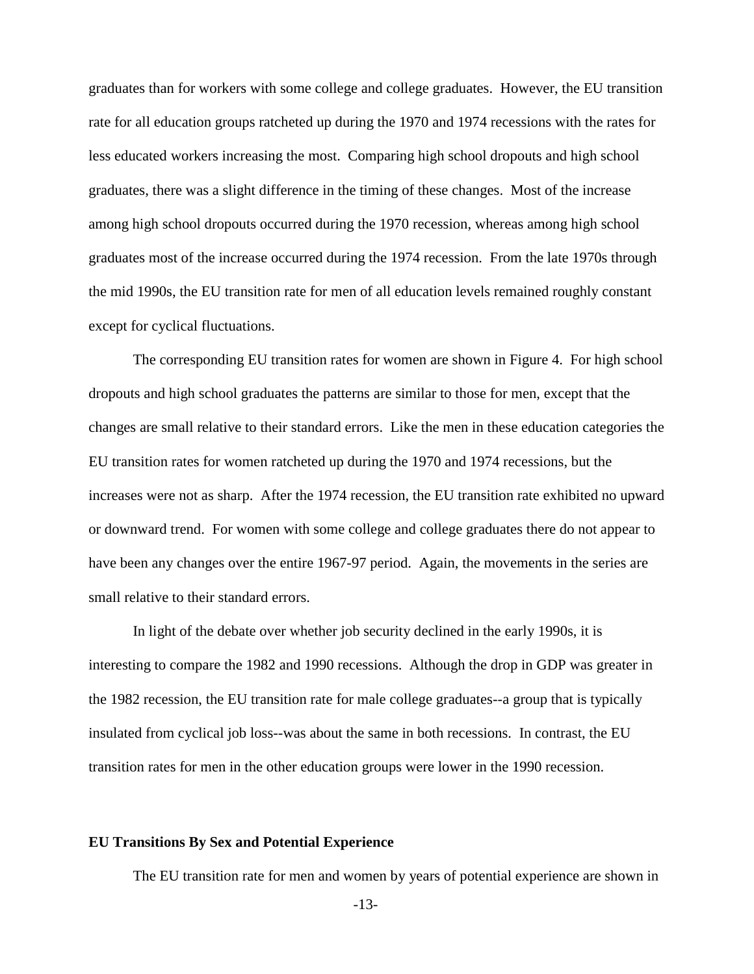graduates than for workers with some college and college graduates. However, the EU transition rate for all education groups ratcheted up during the 1970 and 1974 recessions with the rates for less educated workers increasing the most. Comparing high school dropouts and high school graduates, there was a slight difference in the timing of these changes. Most of the increase among high school dropouts occurred during the 1970 recession, whereas among high school graduates most of the increase occurred during the 1974 recession. From the late 1970s through the mid 1990s, the EU transition rate for men of all education levels remained roughly constant except for cyclical fluctuations.

The corresponding EU transition rates for women are shown in Figure 4. For high school dropouts and high school graduates the patterns are similar to those for men, except that the changes are small relative to their standard errors. Like the men in these education categories the EU transition rates for women ratcheted up during the 1970 and 1974 recessions, but the increases were not as sharp. After the 1974 recession, the EU transition rate exhibited no upward or downward trend. For women with some college and college graduates there do not appear to have been any changes over the entire 1967-97 period. Again, the movements in the series are small relative to their standard errors.

In light of the debate over whether job security declined in the early 1990s, it is interesting to compare the 1982 and 1990 recessions. Although the drop in GDP was greater in the 1982 recession, the EU transition rate for male college graduates--a group that is typically insulated from cyclical job loss--was about the same in both recessions. In contrast, the EU transition rates for men in the other education groups were lower in the 1990 recession.

#### **EU Transitions By Sex and Potential Experience**

The EU transition rate for men and women by years of potential experience are shown in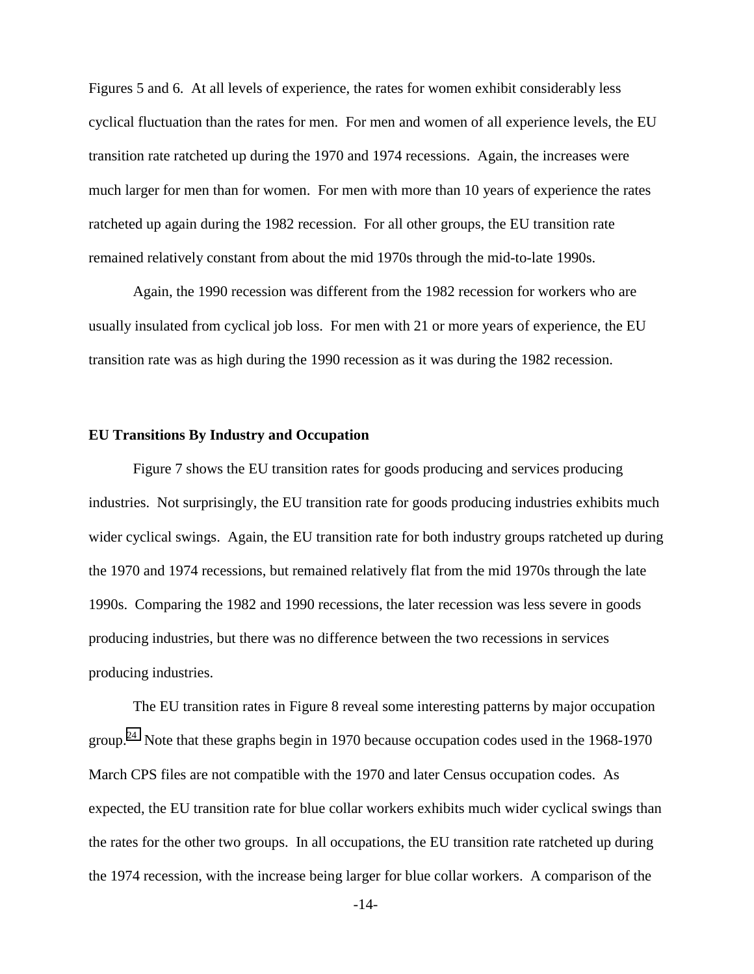Figures 5 and 6. At all levels of experience, the rates for women exhibit considerably less cyclical fluctuation than the rates for men. For men and women of all experience levels, the EU transition rate ratcheted up during the 1970 and 1974 recessions. Again, the increases were much larger for men than for women. For men with more than 10 years of experience the rates ratcheted up again during the 1982 recession. For all other groups, the EU transition rate remained relatively constant from about the mid 1970s through the mid-to-late 1990s.

Again, the 1990 recession was different from the 1982 recession for workers who are usually insulated from cyclical job loss. For men with 21 or more years of experience, the EU transition rate was as high during the 1990 recession as it was during the 1982 recession.

#### **EU Transitions By Industry and Occupation**

Figure 7 shows the EU transition rates for goods producing and services producing industries. Not surprisingly, the EU transition rate for goods producing industries exhibits much wider cyclical swings. Again, the EU transition rate for both industry groups ratcheted up during the 1970 and 1974 recessions, but remained relatively flat from the mid 1970s through the late 1990s. Comparing the 1982 and 1990 recessions, the later recession was less severe in goods producing industries, but there was no difference between the two recessions in services producing industries.

The EU transition rates in Figure 8 reveal some interesting patterns by major occupation group.<sup>24</sup> Note that these graphs begin in 1970 because occupation codes used in the 1968-1970 March CPS files are not compatible with the 1970 and later Census occupation codes. As expected, the EU transition rate for blue collar workers exhibits much wider cyclical swings than the rates for the other two groups. In all occupations, the EU transition rate ratcheted up during the 1974 recession, with the increase being larger for blue collar workers. A comparison of the

-14-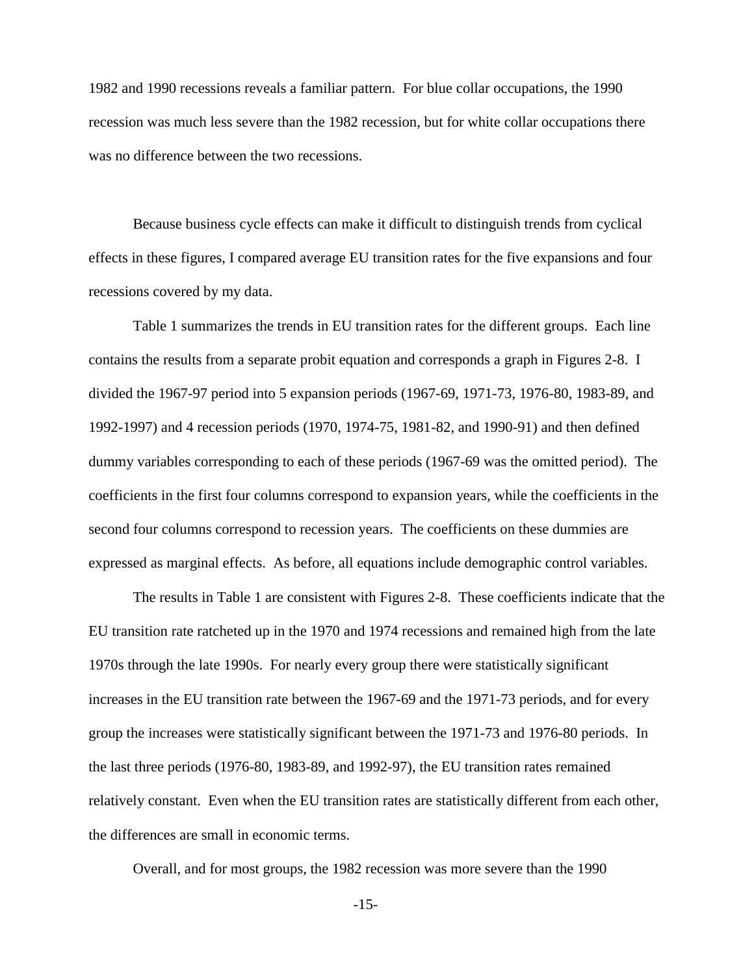1982 and 1990 recessions reveals a familiar pattern. For blue collar occupations, the 1990 recession was much less severe than the 1982 recession, but for white collar occupations there was no difference between the two recessions.

Because business cycle effects can make it difficult to distinguish trends from cyclical effects in these figures, I compared average EU transition rates for the five expansions and four recessions covered by my data.

Table 1 summarizes the trends in EU transition rates for the different groups. Each line contains the results from a separate probit equation and corresponds a graph in Figures 2-8. I divided the 1967-97 period into 5 expansion periods (1967-69, 1971-73, 1976-80, 1983-89, and 1992-1997) and 4 recession periods (1970, 1974-75, 1981-82, and 1990-91) and then defined dummy variables corresponding to each of these periods (1967-69 was the omitted period). The coefficients in the first four columns correspond to expansion years, while the coefficients in the second four columns correspond to recession years. The coefficients on these dummies are expressed as marginal effects. As before, all equations include demographic control variables.

The results in Table 1 are consistent with Figures 2-8. These coefficients indicate that the EU transition rate ratcheted up in the 1970 and 1974 recessions and remained high from the late 1970s through the late 1990s. For nearly every group there were statistically significant increases in the EU transition rate between the 1967-69 and the 1971-73 periods, and for every group the increases were statistically significant between the 1971-73 and 1976-80 periods. In the last three periods (1976-80, 1983-89, and 1992-97), the EU transition rates remained relatively constant. Even when the EU transition rates are statistically different from each other, the differences are small in economic terms.

Overall, and for most groups, the 1982 recession was more severe than the 1990

-15-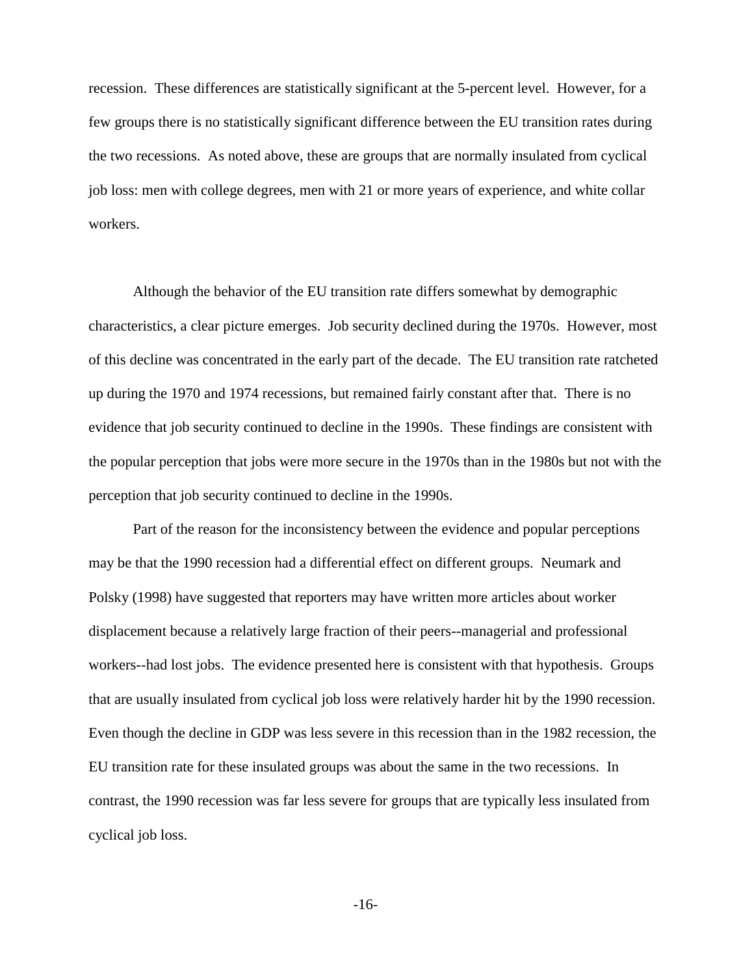recession. These differences are statistically significant at the 5-percent level. However, for a few groups there is no statistically significant difference between the EU transition rates during the two recessions. As noted above, these are groups that are normally insulated from cyclical job loss: men with college degrees, men with 21 or more years of experience, and white collar workers.

Although the behavior of the EU transition rate differs somewhat by demographic characteristics, a clear picture emerges. Job security declined during the 1970s. However, most of this decline was concentrated in the early part of the decade. The EU transition rate ratcheted up during the 1970 and 1974 recessions, but remained fairly constant after that. There is no evidence that job security continued to decline in the 1990s. These findings are consistent with the popular perception that jobs were more secure in the 1970s than in the 1980s but not with the perception that job security continued to decline in the 1990s.

Part of the reason for the inconsistency between the evidence and popular perceptions may be that the 1990 recession had a differential effect on different groups. Neumark and Polsky (1998) have suggested that reporters may have written more articles about worker displacement because a relatively large fraction of their peers--managerial and professional workers--had lost jobs. The evidence presented here is consistent with that hypothesis. Groups that are usually insulated from cyclical job loss were relatively harder hit by the 1990 recession. Even though the decline in GDP was less severe in this recession than in the 1982 recession, the EU transition rate for these insulated groups was about the same in the two recessions. In contrast, the 1990 recession was far less severe for groups that are typically less insulated from cyclical job loss.

-16-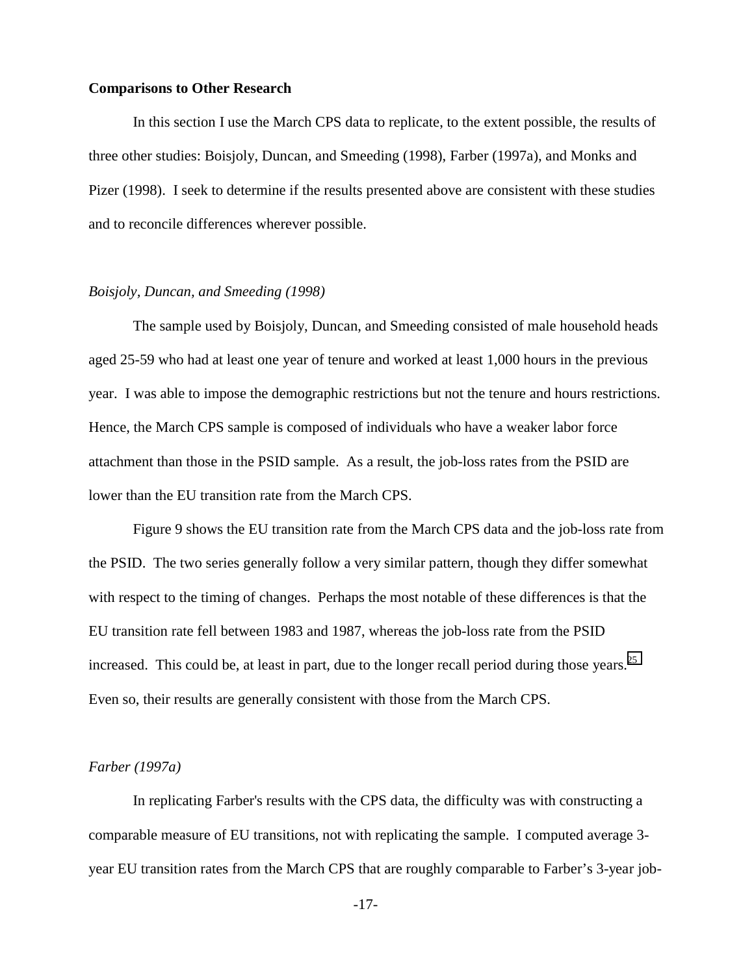#### **Comparisons to Other Research**

In this section I use the March CPS data to replicate, to the extent possible, the results of three other studies: Boisjoly, Duncan, and Smeeding (1998), Farber (1997a), and Monks and Pizer (1998). I seek to determine if the results presented above are consistent with these studies and to reconcile differences wherever possible.

## *Boisjoly, Duncan, and Smeeding (1998)*

The sample used by Boisjoly, Duncan, and Smeeding consisted of male household heads aged 25-59 who had at least one year of tenure and worked at least 1,000 hours in the previous year. I was able to impose the demographic restrictions but not the tenure and hours restrictions. Hence, the March CPS sample is composed of individuals who have a weaker labor force attachment than those in the PSID sample. As a result, the job-loss rates from the PSID are lower than the EU transition rate from the March CPS.

Figure 9 shows the EU transition rate from the March CPS data and the job-loss rate from the PSID. The two series generally follow a very similar pattern, though they differ somewhat with respect to the timing of changes. Perhaps the most notable of these differences is that the EU transition rate fell between 1983 and 1987, whereas the job-loss rate from the PSID increased. This could be, at least in part, due to the longer recall period during those years.<sup>[25](#page-38-0)</sup> Even so, their results are generally consistent with those from the March CPS.

#### *Farber (1997a)*

In replicating Farber's results with the CPS data, the difficulty was with constructing a comparable measure of EU transitions, not with replicating the sample. I computed average 3 year EU transition rates from the March CPS that are roughly comparable to Farber's 3-year job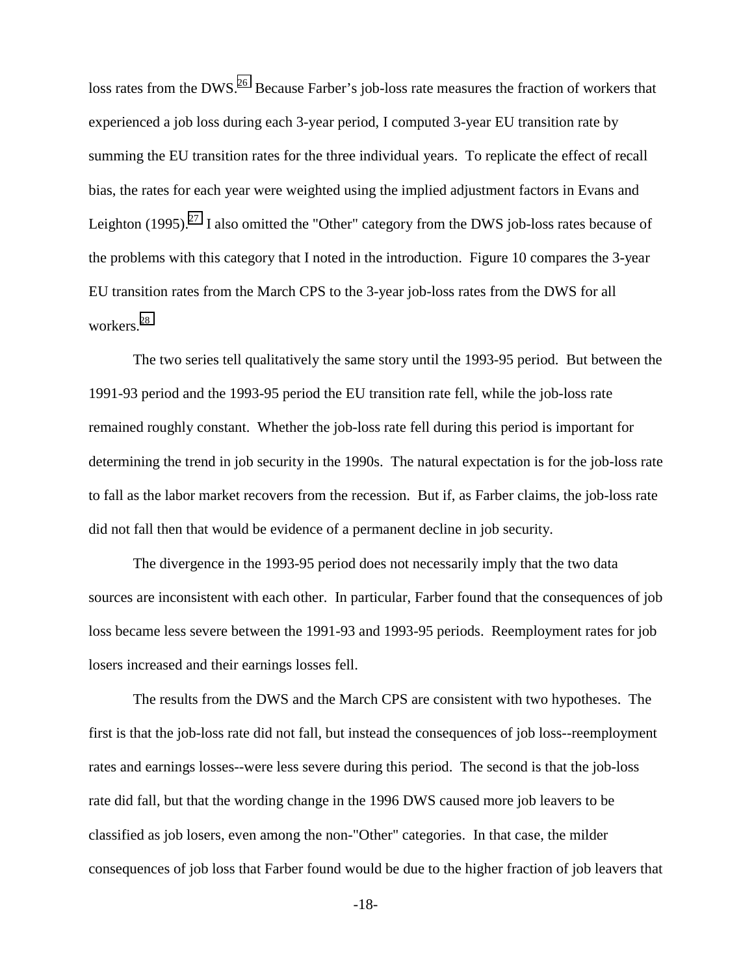loss rates from the DWS.<sup>26</sup> Because Farber's job-loss rate measures the fraction of workers that experienced a job loss during each 3-year period, I computed 3-year EU transition rate by summing the EU transition rates for the three individual years. To replicate the effect of recall bias, the rates for each year were weighted using the implied adjustment factors in Evans and Leighton (1995).<sup>27</sup> I also omitted the "Other" category from the DWS job-loss rates because of the problems with this category that I noted in the introduction. Figure 10 compares the 3-year EU transition rates from the March CPS to the 3-year job-loss rates from the DWS for all workers.[28](#page-38-0)

The two series tell qualitatively the same story until the 1993-95 period. But between the 1991-93 period and the 1993-95 period the EU transition rate fell, while the job-loss rate remained roughly constant. Whether the job-loss rate fell during this period is important for determining the trend in job security in the 1990s. The natural expectation is for the job-loss rate to fall as the labor market recovers from the recession. But if, as Farber claims, the job-loss rate did not fall then that would be evidence of a permanent decline in job security.

The divergence in the 1993-95 period does not necessarily imply that the two data sources are inconsistent with each other. In particular, Farber found that the consequences of job loss became less severe between the 1991-93 and 1993-95 periods. Reemployment rates for job losers increased and their earnings losses fell.

The results from the DWS and the March CPS are consistent with two hypotheses. The first is that the job-loss rate did not fall, but instead the consequences of job loss--reemployment rates and earnings losses--were less severe during this period. The second is that the job-loss rate did fall, but that the wording change in the 1996 DWS caused more job leavers to be classified as job losers, even among the non-"Other" categories. In that case, the milder consequences of job loss that Farber found would be due to the higher fraction of job leavers that

-18-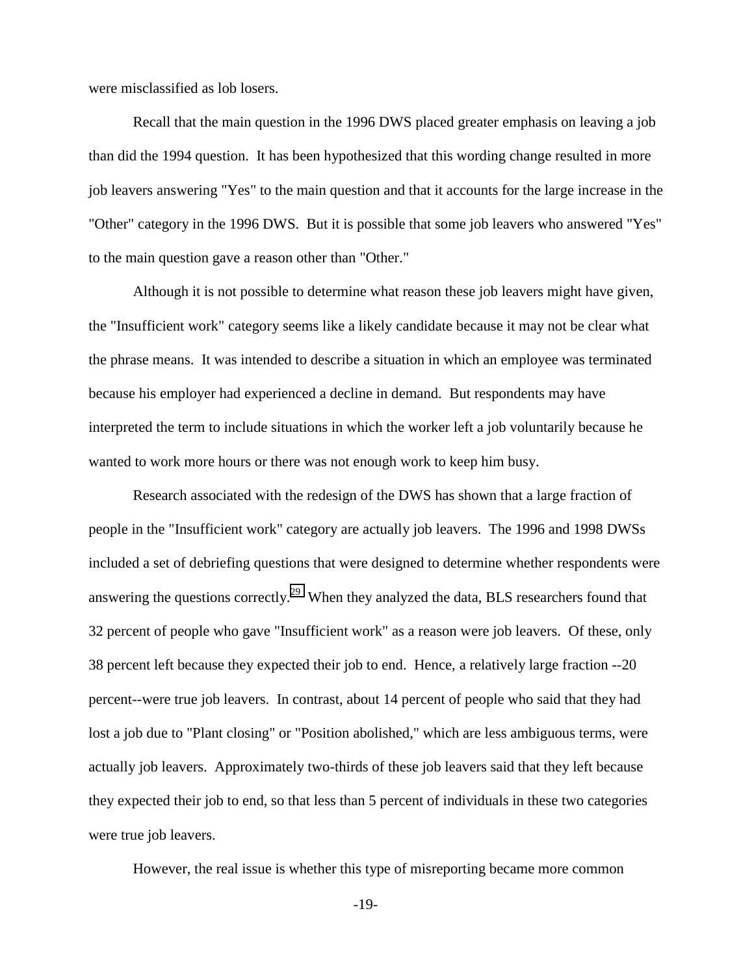were misclassified as lob losers.

Recall that the main question in the 1996 DWS placed greater emphasis on leaving a job than did the 1994 question. It has been hypothesized that this wording change resulted in more job leavers answering "Yes" to the main question and that it accounts for the large increase in the "Other" category in the 1996 DWS. But it is possible that some job leavers who answered "Yes" to the main question gave a reason other than "Other."

Although it is not possible to determine what reason these job leavers might have given, the "Insufficient work" category seems like a likely candidate because it may not be clear what the phrase means. It was intended to describe a situation in which an employee was terminated because his employer had experienced a decline in demand. But respondents may have interpreted the term to include situations in which the worker left a job voluntarily because he wanted to work more hours or there was not enough work to keep him busy.

Research associated with the redesign of the DWS has shown that a large fraction of people in the "Insufficient work" category are actually job leavers. The 1996 and 1998 DWSs included a set of debriefing questions that were designed to determine whether respondents were answering the questions correctly.<sup>29</sup> When they analyzed the data, BLS researchers found that 32 percent of people who gave "Insufficient work" as a reason were job leavers. Of these, only 38 percent left because they expected their job to end. Hence, a relatively large fraction --20 percent--were true job leavers. In contrast, about 14 percent of people who said that they had lost a job due to "Plant closing" or "Position abolished," which are less ambiguous terms, were actually job leavers. Approximately two-thirds of these job leavers said that they left because they expected their job to end, so that less than 5 percent of individuals in these two categories were true job leavers.

However, the real issue is whether this type of misreporting became more common

-19-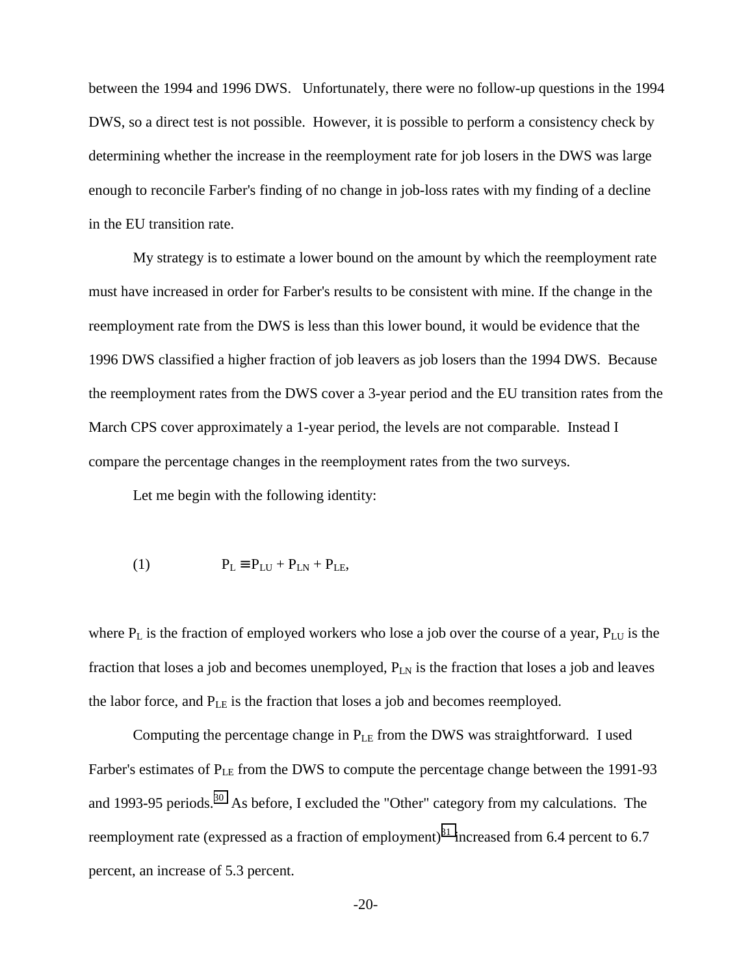between the 1994 and 1996 DWS. Unfortunately, there were no follow-up questions in the 1994 DWS, so a direct test is not possible. However, it is possible to perform a consistency check by determining whether the increase in the reemployment rate for job losers in the DWS was large enough to reconcile Farber's finding of no change in job-loss rates with my finding of a decline in the EU transition rate.

My strategy is to estimate a lower bound on the amount by which the reemployment rate must have increased in order for Farber's results to be consistent with mine. If the change in the reemployment rate from the DWS is less than this lower bound, it would be evidence that the 1996 DWS classified a higher fraction of job leavers as job losers than the 1994 DWS. Because the reemployment rates from the DWS cover a 3-year period and the EU transition rates from the March CPS cover approximately a 1-year period, the levels are not comparable. Instead I compare the percentage changes in the reemployment rates from the two surveys.

Let me begin with the following identity:

$$
(1) \tPL \equiv PLU + PLN + PLE,
$$

where  $P_L$  is the fraction of employed workers who lose a job over the course of a year,  $P_{LU}$  is the fraction that loses a job and becomes unemployed,  $P_{LN}$  is the fraction that loses a job and leaves the labor force, and  $P_{LE}$  is the fraction that loses a job and becomes reemployed.

Computing the percentage change in  $P_{LE}$  from the DWS was straightforward. I used Farber's estimates of  $P_{LE}$  from the DWS to compute the percentage change between the 1991-93 and 1993-95 periods.<sup>30</sup> As before, I excluded the "Other" category from my calculations. The reemployment rate (expressed as a fraction of employment) $31$  increased from 6.4 percent to 6.7 percent, an increase of 5.3 percent.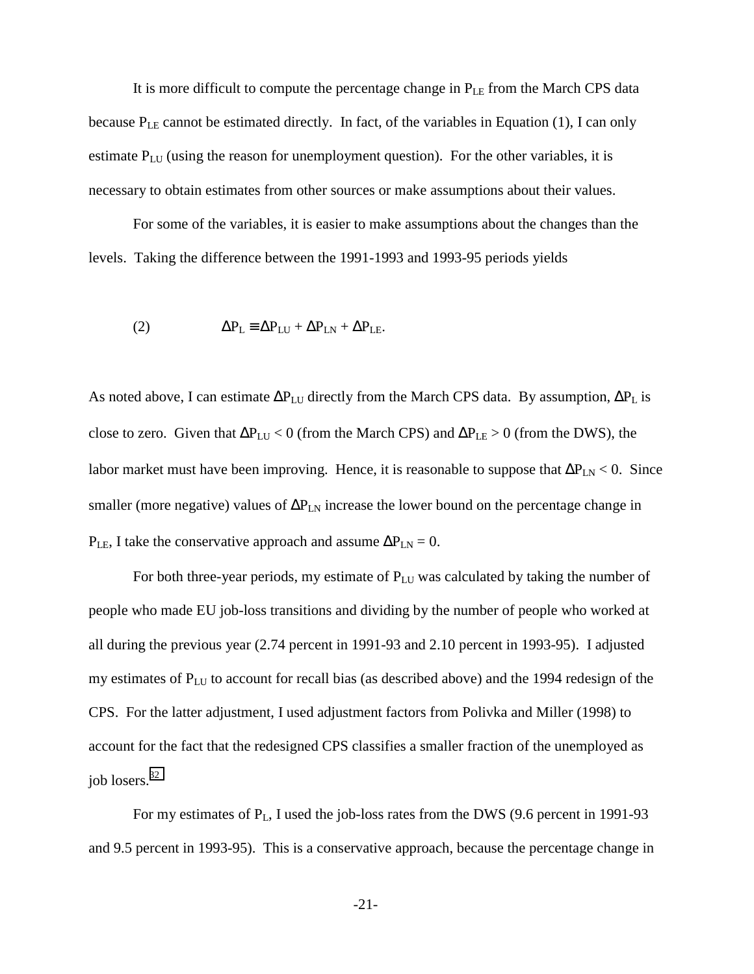It is more difficult to compute the percentage change in  $P_{LE}$  from the March CPS data because  $P_{LE}$  cannot be estimated directly. In fact, of the variables in Equation (1), I can only estimate  $P_{LU}$  (using the reason for unemployment question). For the other variables, it is necessary to obtain estimates from other sources or make assumptions about their values.

For some of the variables, it is easier to make assumptions about the changes than the levels. Taking the difference between the 1991-1993 and 1993-95 periods yields

(2) 
$$
\Delta P_{L} \equiv \Delta P_{LU} + \Delta P_{LN} + \Delta P_{LE}.
$$

As noted above, I can estimate  $\Delta P_{LU}$  directly from the March CPS data. By assumption,  $\Delta P_L$  is close to zero. Given that  $\Delta P_{LU} < 0$  (from the March CPS) and  $\Delta P_{LE} > 0$  (from the DWS), the labor market must have been improving. Hence, it is reasonable to suppose that  $\Delta P_{LN}$  < 0. Since smaller (more negative) values of  $\Delta P_{LN}$  increase the lower bound on the percentage change in  $P_{LE}$ , I take the conservative approach and assume  $\Delta P_{LN} = 0$ .

For both three-year periods, my estimate of  $P_{LU}$  was calculated by taking the number of people who made EU job-loss transitions and dividing by the number of people who worked at all during the previous year (2.74 percent in 1991-93 and 2.10 percent in 1993-95). I adjusted my estimates of PLU to account for recall bias (as described above) and the 1994 redesign of the CPS. For the latter adjustment, I used adjustment factors from Polivka and Miller (1998) to account for the fact that the redesigned CPS classifies a smaller fraction of the unemployed as job losers.[32](#page-38-0)

For my estimates of  $P_L$ , I used the job-loss rates from the DWS (9.6 percent in 1991-93 and 9.5 percent in 1993-95). This is a conservative approach, because the percentage change in

-21-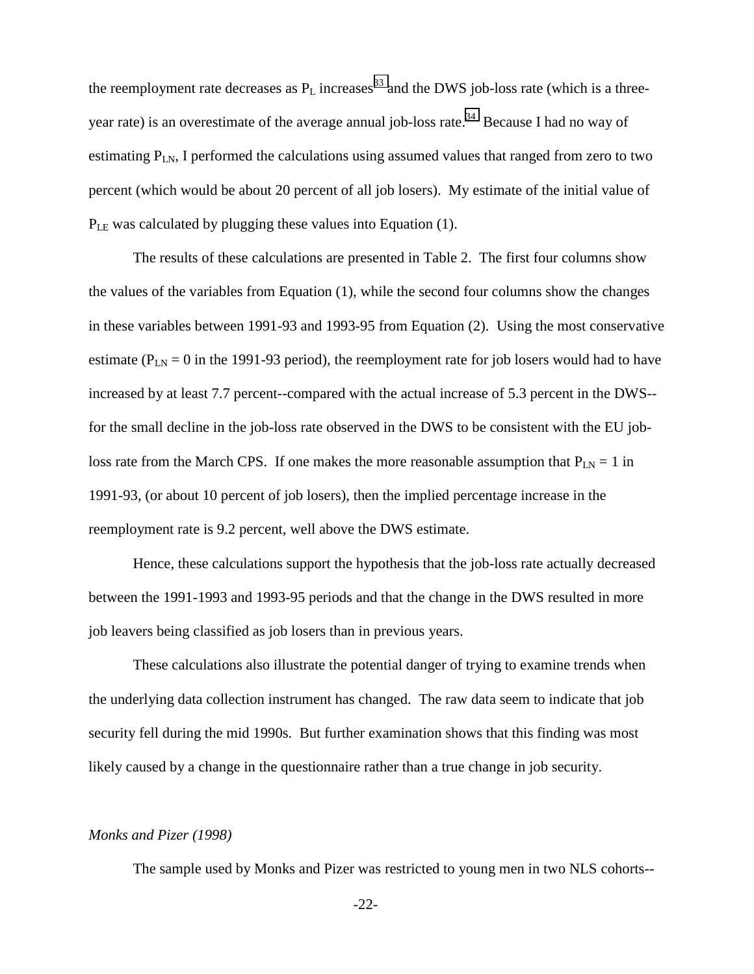the reemployment rate decreases as  $P_L$  increases<sup>33</sup> and the DWS job-loss rate (which is a threeyear rate) is an overestimate of the average annual job-loss rate.<sup>34</sup> Because I had no way of estimating  $P_{LN}$ , I performed the calculations using assumed values that ranged from zero to two percent (which would be about 20 percent of all job losers). My estimate of the initial value of  $P_{LE}$  was calculated by plugging these values into Equation (1).

The results of these calculations are presented in Table 2. The first four columns show the values of the variables from Equation (1), while the second four columns show the changes in these variables between 1991-93 and 1993-95 from Equation (2). Using the most conservative estimate ( $P_{LN} = 0$  in the 1991-93 period), the reemployment rate for job losers would had to have increased by at least 7.7 percent--compared with the actual increase of 5.3 percent in the DWS- for the small decline in the job-loss rate observed in the DWS to be consistent with the EU jobloss rate from the March CPS. If one makes the more reasonable assumption that  $P_{LN} = 1$  in 1991-93, (or about 10 percent of job losers), then the implied percentage increase in the reemployment rate is 9.2 percent, well above the DWS estimate.

Hence, these calculations support the hypothesis that the job-loss rate actually decreased between the 1991-1993 and 1993-95 periods and that the change in the DWS resulted in more job leavers being classified as job losers than in previous years.

These calculations also illustrate the potential danger of trying to examine trends when the underlying data collection instrument has changed. The raw data seem to indicate that job security fell during the mid 1990s. But further examination shows that this finding was most likely caused by a change in the questionnaire rather than a true change in job security.

#### *Monks and Pizer (1998)*

The sample used by Monks and Pizer was restricted to young men in two NLS cohorts--

-22-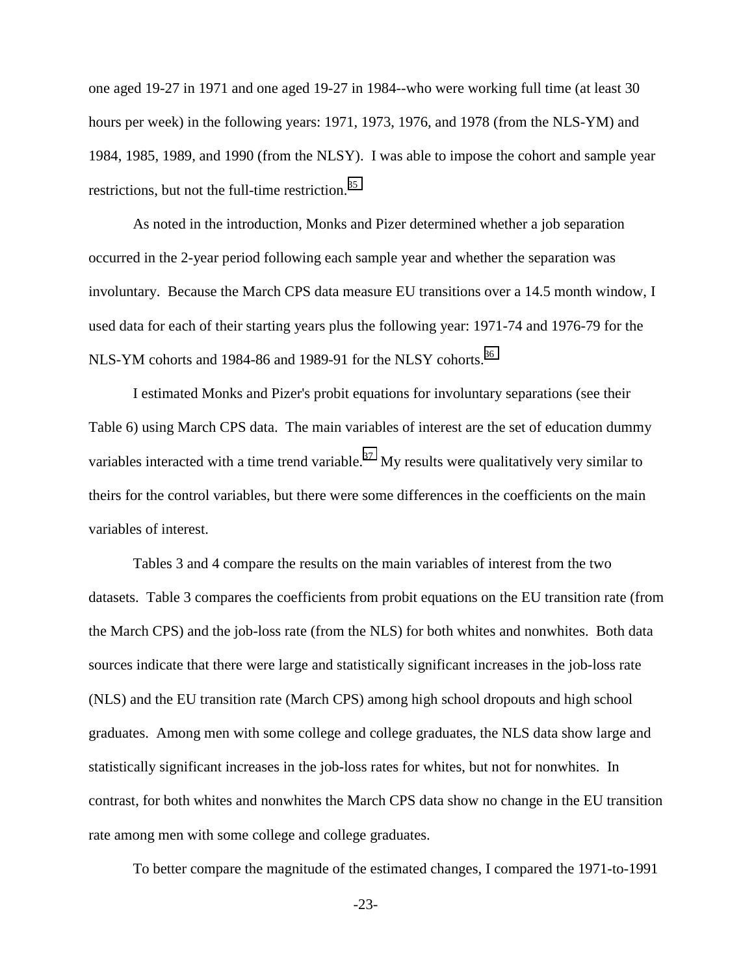one aged 19-27 in 1971 and one aged 19-27 in 1984--who were working full time (at least 30 hours per week) in the following years: 1971, 1973, 1976, and 1978 (from the NLS-YM) and 1984, 1985, 1989, and 1990 (from the NLSY). I was able to impose the cohort and sample year restrictions, but not the full-time restriction.<sup>[35](#page-38-0)</sup>

As noted in the introduction, Monks and Pizer determined whether a job separation occurred in the 2-year period following each sample year and whether the separation was involuntary. Because the March CPS data measure EU transitions over a 14.5 month window, I used data for each of their starting years plus the following year: 1971-74 and 1976-79 for the NLS-YM cohorts and 1984-86 and 1989-91 for the NLSY cohorts.<sup>[36](#page-38-0)</sup>

I estimated Monks and Pizer's probit equations for involuntary separations (see their Table 6) using March CPS data. The main variables of interest are the set of education dummy variables interacted with a time trend variable.<sup>37</sup> My results were qualitatively very similar to theirs for the control variables, but there were some differences in the coefficients on the main variables of interest.

Tables 3 and 4 compare the results on the main variables of interest from the two datasets. Table 3 compares the coefficients from probit equations on the EU transition rate (from the March CPS) and the job-loss rate (from the NLS) for both whites and nonwhites. Both data sources indicate that there were large and statistically significant increases in the job-loss rate (NLS) and the EU transition rate (March CPS) among high school dropouts and high school graduates. Among men with some college and college graduates, the NLS data show large and statistically significant increases in the job-loss rates for whites, but not for nonwhites. In contrast, for both whites and nonwhites the March CPS data show no change in the EU transition rate among men with some college and college graduates.

To better compare the magnitude of the estimated changes, I compared the 1971-to-1991

-23-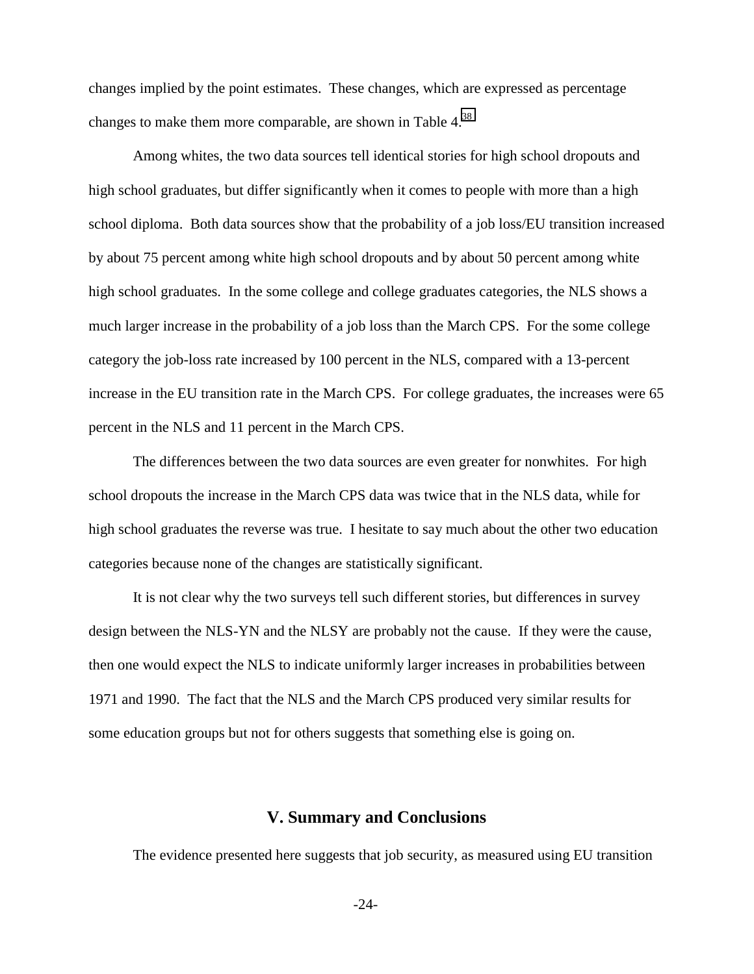changes implied by the point estimates. These changes, which are expressed as percentage changes to make them more comparable, are shown in Table 4[.38](#page-38-0)

Among whites, the two data sources tell identical stories for high school dropouts and high school graduates, but differ significantly when it comes to people with more than a high school diploma. Both data sources show that the probability of a job loss/EU transition increased by about 75 percent among white high school dropouts and by about 50 percent among white high school graduates. In the some college and college graduates categories, the NLS shows a much larger increase in the probability of a job loss than the March CPS. For the some college category the job-loss rate increased by 100 percent in the NLS, compared with a 13-percent increase in the EU transition rate in the March CPS. For college graduates, the increases were 65 percent in the NLS and 11 percent in the March CPS.

The differences between the two data sources are even greater for nonwhites. For high school dropouts the increase in the March CPS data was twice that in the NLS data, while for high school graduates the reverse was true. I hesitate to say much about the other two education categories because none of the changes are statistically significant.

It is not clear why the two surveys tell such different stories, but differences in survey design between the NLS-YN and the NLSY are probably not the cause. If they were the cause, then one would expect the NLS to indicate uniformly larger increases in probabilities between 1971 and 1990. The fact that the NLS and the March CPS produced very similar results for some education groups but not for others suggests that something else is going on.

# **V. Summary and Conclusions**

The evidence presented here suggests that job security, as measured using EU transition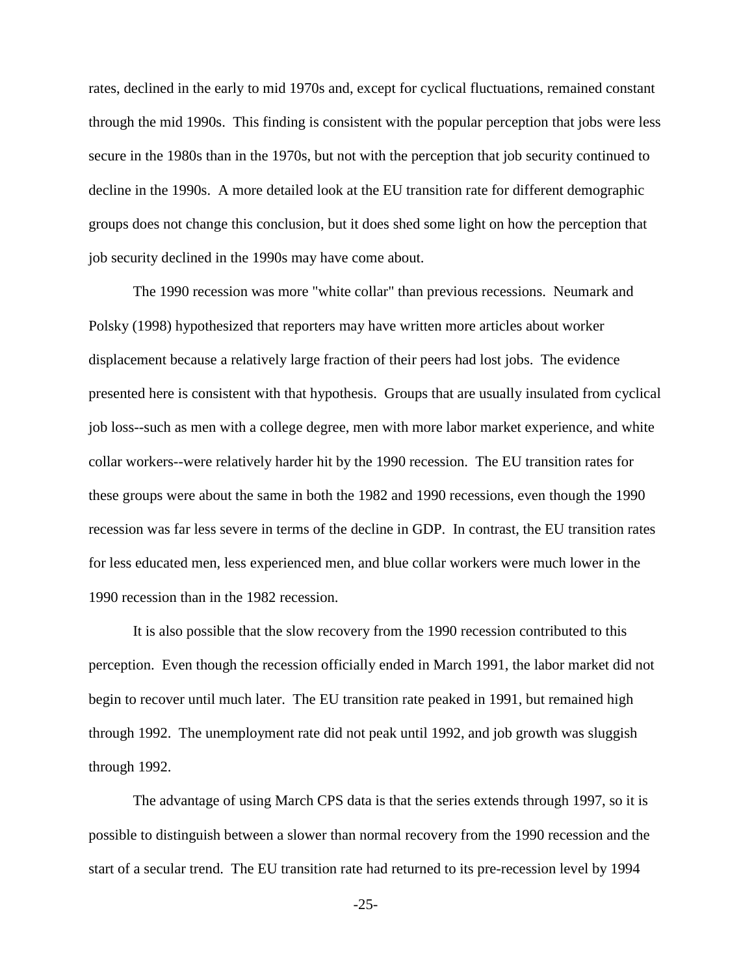rates, declined in the early to mid 1970s and, except for cyclical fluctuations, remained constant through the mid 1990s. This finding is consistent with the popular perception that jobs were less secure in the 1980s than in the 1970s, but not with the perception that job security continued to decline in the 1990s. A more detailed look at the EU transition rate for different demographic groups does not change this conclusion, but it does shed some light on how the perception that job security declined in the 1990s may have come about.

The 1990 recession was more "white collar" than previous recessions. Neumark and Polsky (1998) hypothesized that reporters may have written more articles about worker displacement because a relatively large fraction of their peers had lost jobs. The evidence presented here is consistent with that hypothesis. Groups that are usually insulated from cyclical job loss--such as men with a college degree, men with more labor market experience, and white collar workers--were relatively harder hit by the 1990 recession. The EU transition rates for these groups were about the same in both the 1982 and 1990 recessions, even though the 1990 recession was far less severe in terms of the decline in GDP. In contrast, the EU transition rates for less educated men, less experienced men, and blue collar workers were much lower in the 1990 recession than in the 1982 recession.

It is also possible that the slow recovery from the 1990 recession contributed to this perception. Even though the recession officially ended in March 1991, the labor market did not begin to recover until much later. The EU transition rate peaked in 1991, but remained high through 1992. The unemployment rate did not peak until 1992, and job growth was sluggish through 1992.

The advantage of using March CPS data is that the series extends through 1997, so it is possible to distinguish between a slower than normal recovery from the 1990 recession and the start of a secular trend. The EU transition rate had returned to its pre-recession level by 1994

-25-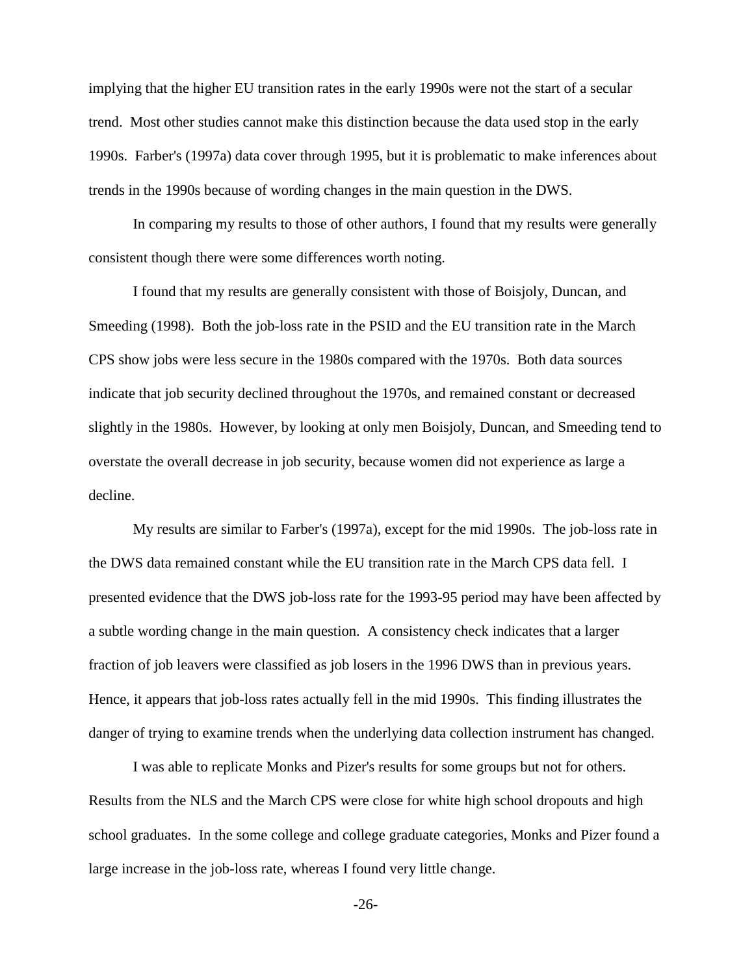implying that the higher EU transition rates in the early 1990s were not the start of a secular trend. Most other studies cannot make this distinction because the data used stop in the early 1990s. Farber's (1997a) data cover through 1995, but it is problematic to make inferences about trends in the 1990s because of wording changes in the main question in the DWS.

In comparing my results to those of other authors, I found that my results were generally consistent though there were some differences worth noting.

I found that my results are generally consistent with those of Boisjoly, Duncan, and Smeeding (1998). Both the job-loss rate in the PSID and the EU transition rate in the March CPS show jobs were less secure in the 1980s compared with the 1970s. Both data sources indicate that job security declined throughout the 1970s, and remained constant or decreased slightly in the 1980s. However, by looking at only men Boisjoly, Duncan, and Smeeding tend to overstate the overall decrease in job security, because women did not experience as large a decline.

My results are similar to Farber's (1997a), except for the mid 1990s. The job-loss rate in the DWS data remained constant while the EU transition rate in the March CPS data fell. I presented evidence that the DWS job-loss rate for the 1993-95 period may have been affected by a subtle wording change in the main question. A consistency check indicates that a larger fraction of job leavers were classified as job losers in the 1996 DWS than in previous years. Hence, it appears that job-loss rates actually fell in the mid 1990s. This finding illustrates the danger of trying to examine trends when the underlying data collection instrument has changed.

I was able to replicate Monks and Pizer's results for some groups but not for others. Results from the NLS and the March CPS were close for white high school dropouts and high school graduates. In the some college and college graduate categories, Monks and Pizer found a large increase in the job-loss rate, whereas I found very little change.

-26-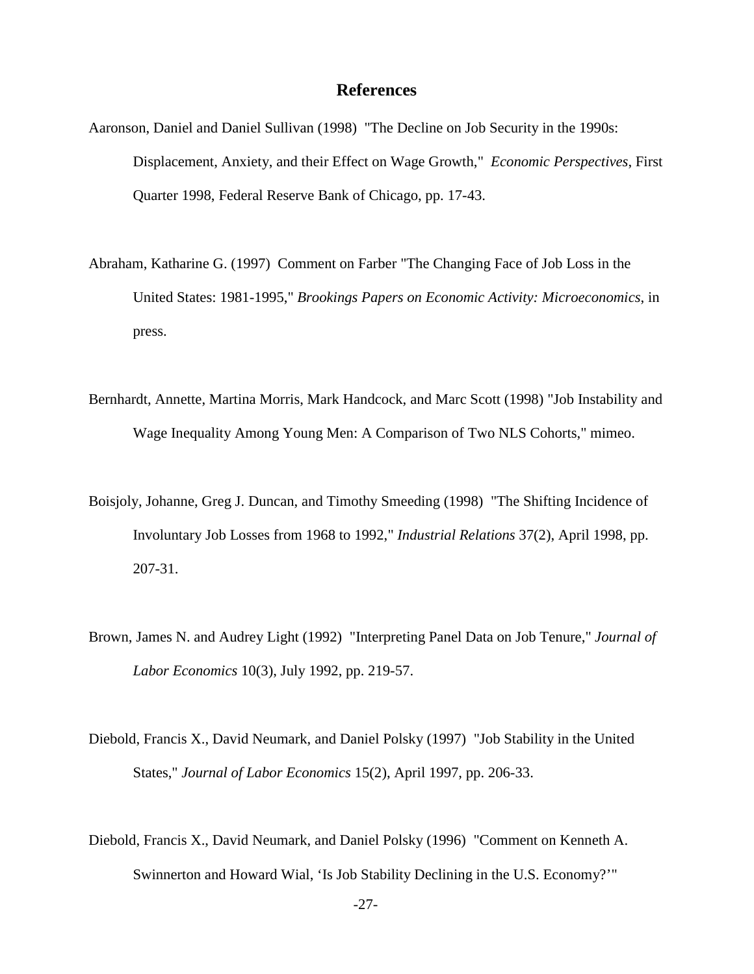# **References**

- Aaronson, Daniel and Daniel Sullivan (1998) "The Decline on Job Security in the 1990s: Displacement, Anxiety, and their Effect on Wage Growth," *Economic Perspectives*, First Quarter 1998, Federal Reserve Bank of Chicago, pp. 17-43.
- Abraham, Katharine G. (1997) Comment on Farber "The Changing Face of Job Loss in the United States: 1981-1995," *Brookings Papers on Economic Activity: Microeconomics*, in press.
- Bernhardt, Annette, Martina Morris, Mark Handcock, and Marc Scott (1998) "Job Instability and Wage Inequality Among Young Men: A Comparison of Two NLS Cohorts," mimeo.
- Boisjoly, Johanne, Greg J. Duncan, and Timothy Smeeding (1998) "The Shifting Incidence of Involuntary Job Losses from 1968 to 1992," *Industrial Relations* 37(2), April 1998, pp. 207-31.
- Brown, James N. and Audrey Light (1992) "Interpreting Panel Data on Job Tenure," *Journal of Labor Economics* 10(3), July 1992, pp. 219-57.
- Diebold, Francis X., David Neumark, and Daniel Polsky (1997) "Job Stability in the United States," *Journal of Labor Economics* 15(2), April 1997, pp. 206-33.
- Diebold, Francis X., David Neumark, and Daniel Polsky (1996) "Comment on Kenneth A. Swinnerton and Howard Wial, 'Is Job Stability Declining in the U.S. Economy?'"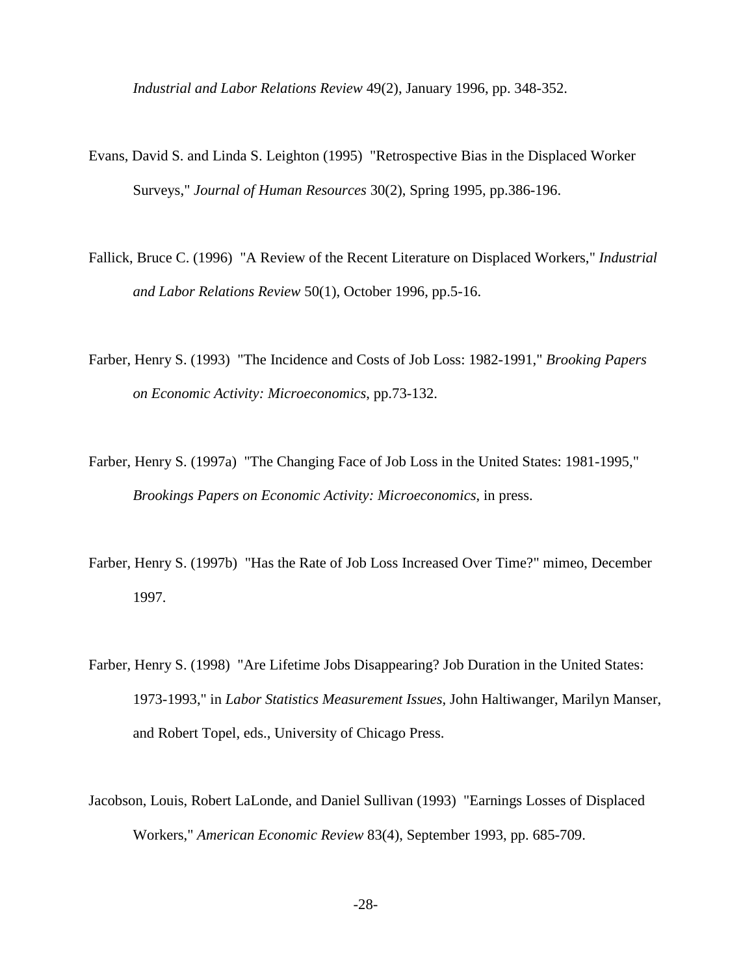*Industrial and Labor Relations Review* 49(2), January 1996, pp. 348-352.

- Evans, David S. and Linda S. Leighton (1995) "Retrospective Bias in the Displaced Worker Surveys," *Journal of Human Resources* 30(2), Spring 1995, pp.386-196.
- Fallick, Bruce C. (1996) "A Review of the Recent Literature on Displaced Workers," *Industrial and Labor Relations Review* 50(1), October 1996, pp.5-16.
- Farber, Henry S. (1993) "The Incidence and Costs of Job Loss: 1982-1991," *Brooking Papers on Economic Activity: Microeconomics*, pp.73-132.
- Farber, Henry S. (1997a) "The Changing Face of Job Loss in the United States: 1981-1995," *Brookings Papers on Economic Activity: Microeconomics*, in press.
- Farber, Henry S. (1997b) "Has the Rate of Job Loss Increased Over Time?" mimeo, December 1997.
- Farber, Henry S. (1998) "Are Lifetime Jobs Disappearing? Job Duration in the United States: 1973-1993," in *Labor Statistics Measurement Issues*, John Haltiwanger, Marilyn Manser, and Robert Topel, eds., University of Chicago Press.
- Jacobson, Louis, Robert LaLonde, and Daniel Sullivan (1993) "Earnings Losses of Displaced Workers," *American Economic Review* 83(4), September 1993, pp. 685-709.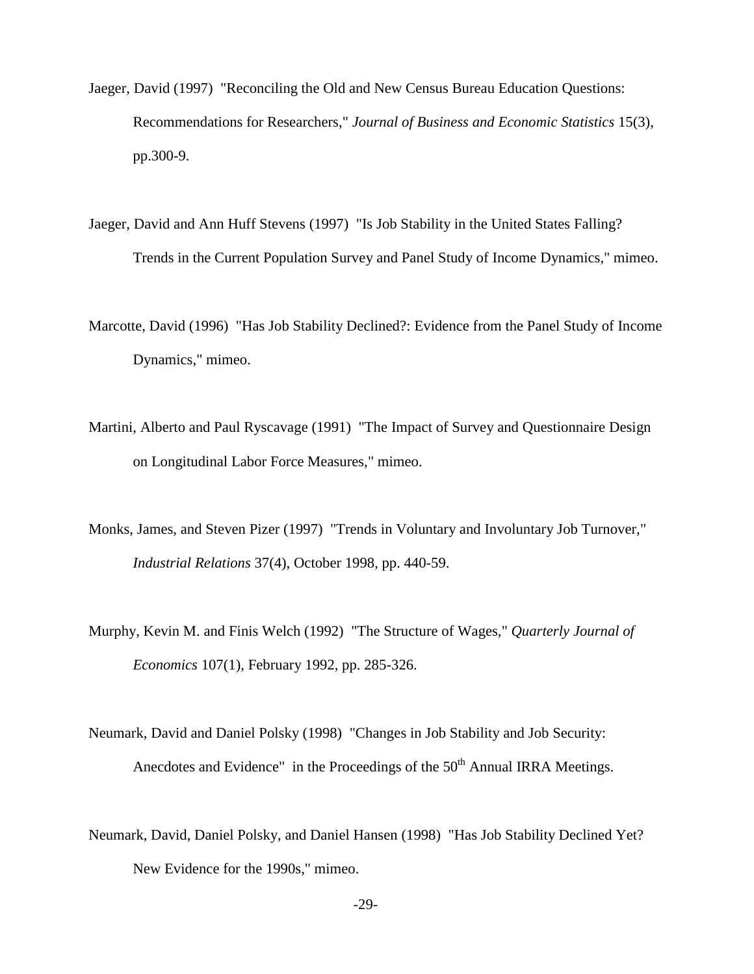- Jaeger, David (1997) "Reconciling the Old and New Census Bureau Education Questions: Recommendations for Researchers," *Journal of Business and Economic Statistics* 15(3), pp.300-9.
- Jaeger, David and Ann Huff Stevens (1997) "Is Job Stability in the United States Falling? Trends in the Current Population Survey and Panel Study of Income Dynamics," mimeo.
- Marcotte, David (1996) "Has Job Stability Declined?: Evidence from the Panel Study of Income Dynamics," mimeo.
- Martini, Alberto and Paul Ryscavage (1991) "The Impact of Survey and Questionnaire Design on Longitudinal Labor Force Measures," mimeo.
- Monks, James, and Steven Pizer (1997) "Trends in Voluntary and Involuntary Job Turnover," *Industrial Relations* 37(4), October 1998, pp. 440-59.
- Murphy, Kevin M. and Finis Welch (1992) "The Structure of Wages," *Quarterly Journal of Economics* 107(1), February 1992, pp. 285-326.
- Neumark, David and Daniel Polsky (1998) "Changes in Job Stability and Job Security: Anecdotes and Evidence" in the Proceedings of the  $50<sup>th</sup>$  Annual IRRA Meetings.
- Neumark, David, Daniel Polsky, and Daniel Hansen (1998) "Has Job Stability Declined Yet? New Evidence for the 1990s," mimeo.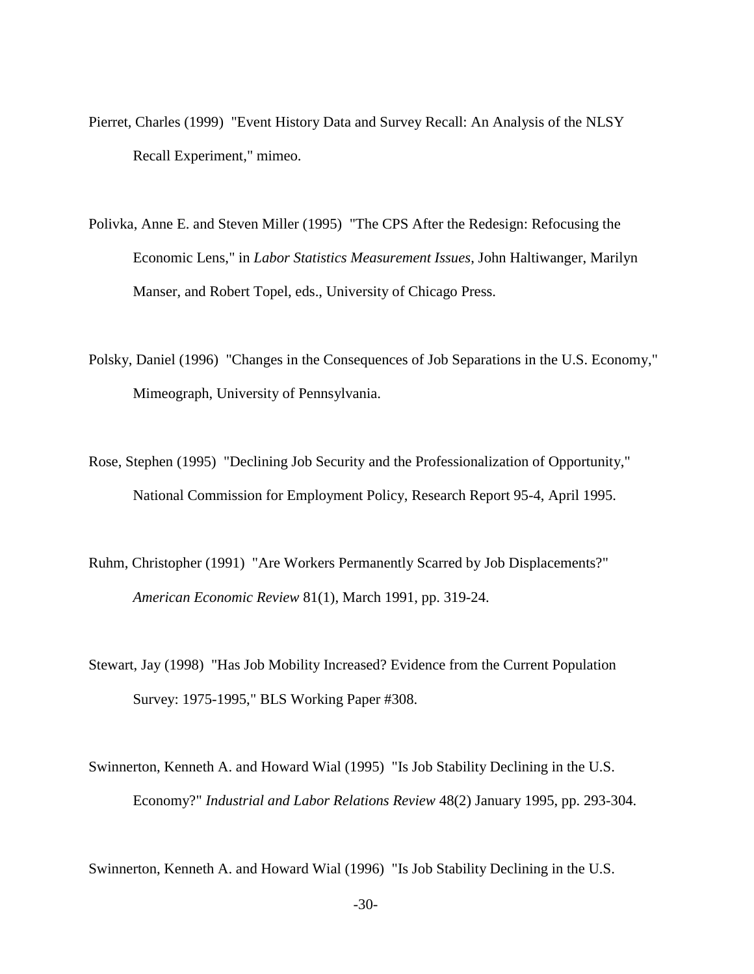- Pierret, Charles (1999) "Event History Data and Survey Recall: An Analysis of the NLSY Recall Experiment," mimeo.
- Polivka, Anne E. and Steven Miller (1995) "The CPS After the Redesign: Refocusing the Economic Lens," in *Labor Statistics Measurement Issues*, John Haltiwanger, Marilyn Manser, and Robert Topel, eds., University of Chicago Press.
- Polsky, Daniel (1996) "Changes in the Consequences of Job Separations in the U.S. Economy," Mimeograph, University of Pennsylvania.
- Rose, Stephen (1995) "Declining Job Security and the Professionalization of Opportunity," National Commission for Employment Policy, Research Report 95-4, April 1995.
- Ruhm, Christopher (1991) "Are Workers Permanently Scarred by Job Displacements?" *American Economic Review* 81(1), March 1991, pp. 319-24.
- Stewart, Jay (1998) "Has Job Mobility Increased? Evidence from the Current Population Survey: 1975-1995," BLS Working Paper #308.
- Swinnerton, Kenneth A. and Howard Wial (1995) "Is Job Stability Declining in the U.S. Economy?" *Industrial and Labor Relations Review* 48(2) January 1995, pp. 293-304.

Swinnerton, Kenneth A. and Howard Wial (1996) "Is Job Stability Declining in the U.S.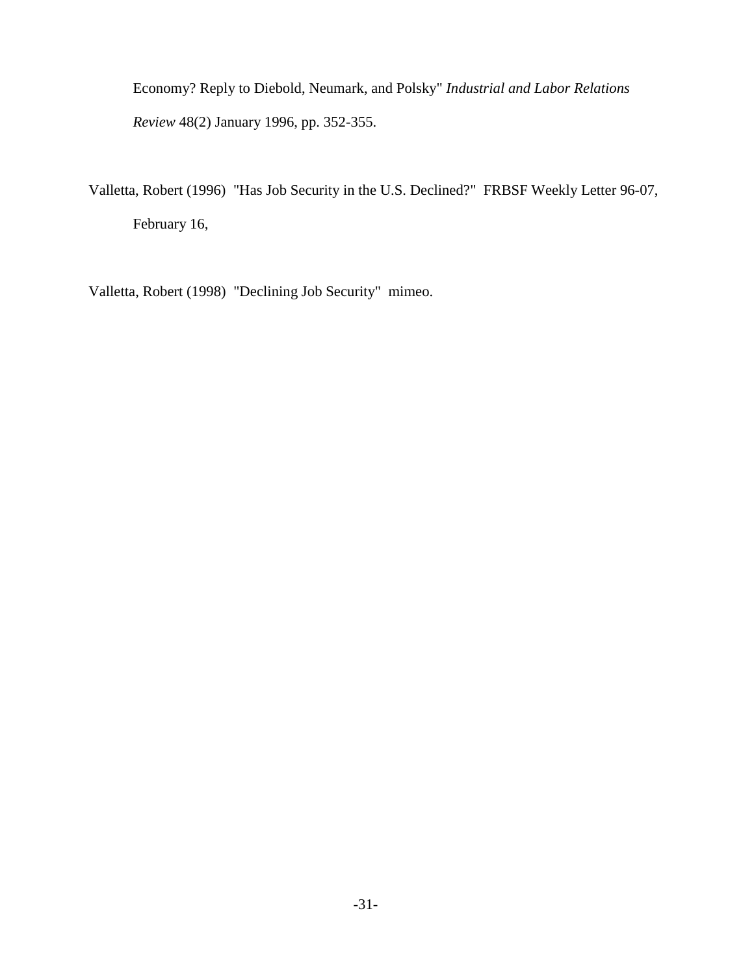Economy? Reply to Diebold, Neumark, and Polsky" *Industrial and Labor Relations Review* 48(2) January 1996, pp. 352-355.

Valletta, Robert (1996) "Has Job Security in the U.S. Declined?" FRBSF Weekly Letter 96-07, February 16,

Valletta, Robert (1998) "Declining Job Security" mimeo.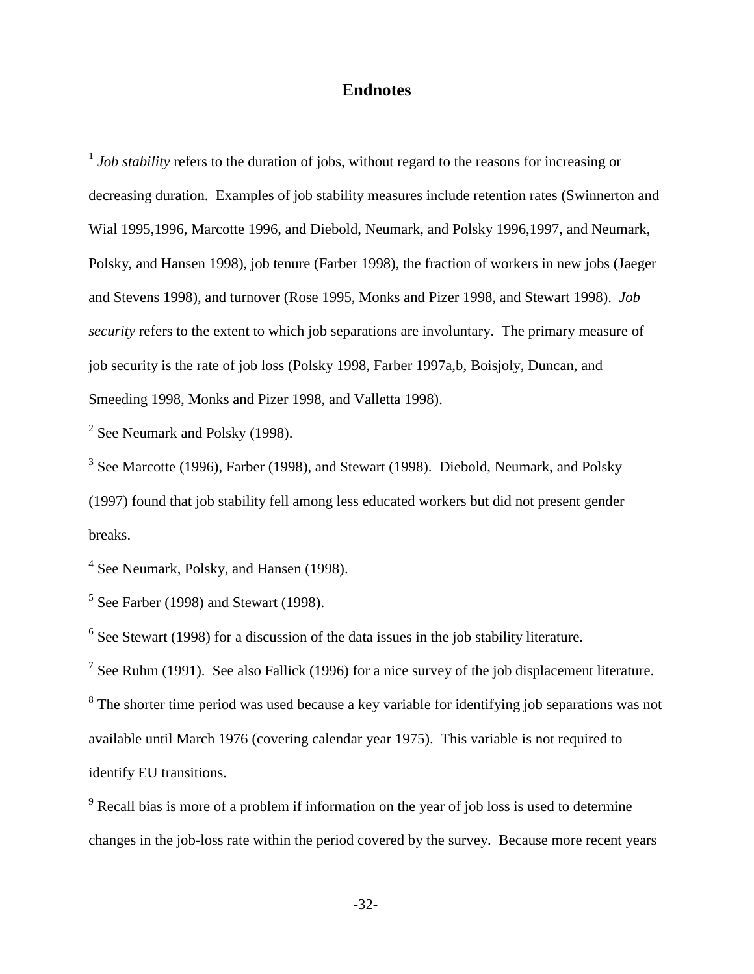# **Endnotes**

<sup>1</sup> *Job stability* refers to the duration of jobs, without regard to the reasons for increasing or decreasing duration. Examples of job stability measures include retention rates (Swinnerton and Wial 1995,1996, Marcotte 1996, and Diebold, Neumark, and Polsky 1996,1997, and Neumark, Polsky, and Hansen 1998), job tenure (Farber 1998), the fraction of workers in new jobs (Jaeger and Stevens 1998), and turnover (Rose 1995, Monks and Pizer 1998, and Stewart 1998). *Job security* refers to the extent to which job separations are involuntary. The primary measure of job security is the rate of job loss (Polsky 1998, Farber 1997a,b, Boisjoly, Duncan, and Smeeding 1998, Monks and Pizer 1998, and Valletta 1998).

 $2$  See Neumark and Polsky (1998).

<sup>3</sup> See Marcotte (1996), Farber (1998), and Stewart (1998). Diebold, Neumark, and Polsky (1997) found that job stability fell among less educated workers but did not present gender breaks.

<sup>4</sup> See Neumark, Polsky, and Hansen (1998).

 $<sup>5</sup>$  See Farber (1998) and Stewart (1998).</sup>

 $6$  See Stewart (1998) for a discussion of the data issues in the job stability literature.

<sup>7</sup> See Ruhm (1991). See also Fallick (1996) for a nice survey of the job displacement literature.

 $8<sup>8</sup>$  The shorter time period was used because a key variable for identifying job separations was not available until March 1976 (covering calendar year 1975). This variable is not required to identify EU transitions.

 $9^9$  Recall bias is more of a problem if information on the year of job loss is used to determine changes in the job-loss rate within the period covered by the survey. Because more recent years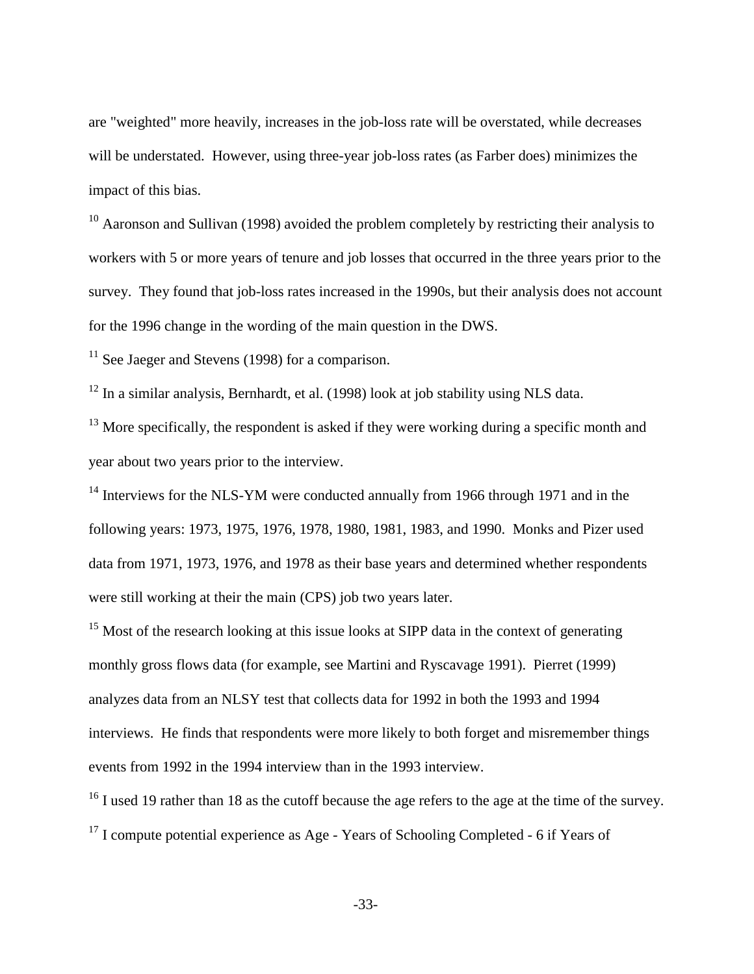are "weighted" more heavily, increases in the job-loss rate will be overstated, while decreases will be understated. However, using three-year job-loss rates (as Farber does) minimizes the impact of this bias.

 $10$  Aaronson and Sullivan (1998) avoided the problem completely by restricting their analysis to workers with 5 or more years of tenure and job losses that occurred in the three years prior to the survey. They found that job-loss rates increased in the 1990s, but their analysis does not account for the 1996 change in the wording of the main question in the DWS.

 $11$  See Jaeger and Stevens (1998) for a comparison.

<sup>12</sup> In a similar analysis, Bernhardt, et al. (1998) look at job stability using NLS data.

<sup>13</sup> More specifically, the respondent is asked if they were working during a specific month and year about two years prior to the interview.

<sup>14</sup> Interviews for the NLS-YM were conducted annually from 1966 through 1971 and in the following years: 1973, 1975, 1976, 1978, 1980, 1981, 1983, and 1990. Monks and Pizer used data from 1971, 1973, 1976, and 1978 as their base years and determined whether respondents were still working at their the main (CPS) job two years later.

<sup>15</sup> Most of the research looking at this issue looks at SIPP data in the context of generating monthly gross flows data (for example, see Martini and Ryscavage 1991). Pierret (1999) analyzes data from an NLSY test that collects data for 1992 in both the 1993 and 1994 interviews. He finds that respondents were more likely to both forget and misremember things events from 1992 in the 1994 interview than in the 1993 interview.

<sup>16</sup> I used 19 rather than 18 as the cutoff because the age refers to the age at the time of the survey.  $17$  I compute potential experience as Age - Years of Schooling Completed - 6 if Years of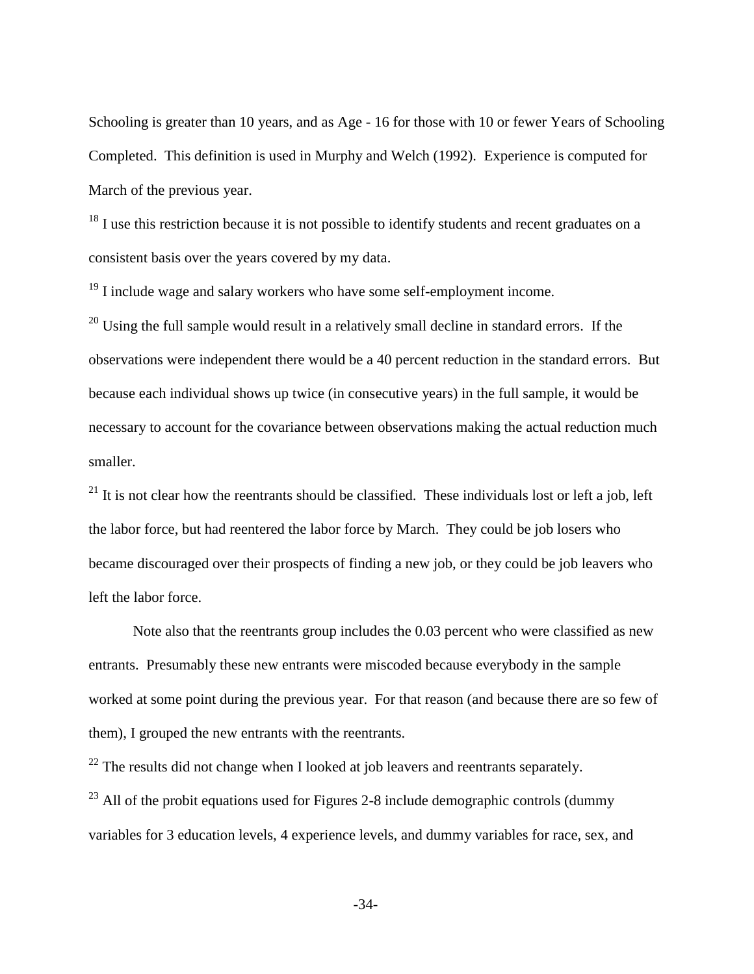Schooling is greater than 10 years, and as Age - 16 for those with 10 or fewer Years of Schooling Completed. This definition is used in Murphy and Welch (1992). Experience is computed for March of the previous year.

 $18$  I use this restriction because it is not possible to identify students and recent graduates on a consistent basis over the years covered by my data.

 $19$  I include wage and salary workers who have some self-employment income.

 $^{20}$  Using the full sample would result in a relatively small decline in standard errors. If the observations were independent there would be a 40 percent reduction in the standard errors. But because each individual shows up twice (in consecutive years) in the full sample, it would be necessary to account for the covariance between observations making the actual reduction much smaller.

 $^{21}$  It is not clear how the reentrants should be classified. These individuals lost or left a job, left the labor force, but had reentered the labor force by March. They could be job losers who became discouraged over their prospects of finding a new job, or they could be job leavers who left the labor force.

Note also that the reentrants group includes the 0.03 percent who were classified as new entrants. Presumably these new entrants were miscoded because everybody in the sample worked at some point during the previous year. For that reason (and because there are so few of them), I grouped the new entrants with the reentrants.

 $^{22}$  The results did not change when I looked at job leavers and reentrants separately.

 $^{23}$  All of the probit equations used for Figures 2-8 include demographic controls (dummy variables for 3 education levels, 4 experience levels, and dummy variables for race, sex, and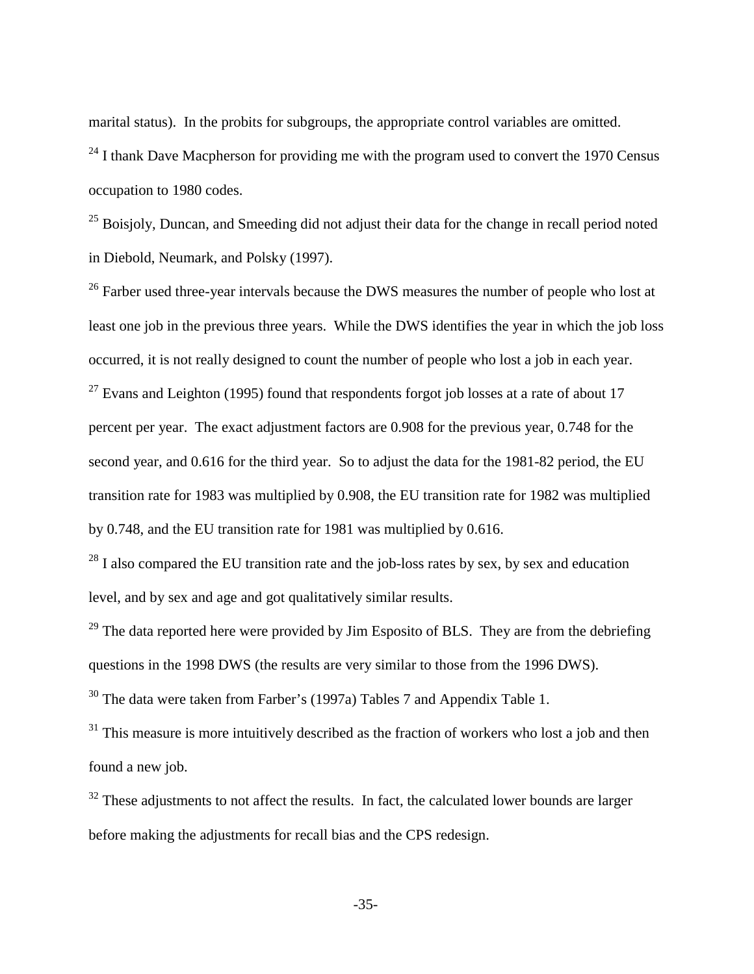marital status). In the probits for subgroups, the appropriate control variables are omitted.

 $24$  I thank Dave Macpherson for providing me with the program used to convert the 1970 Census occupation to 1980 codes.

<sup>25</sup> Boisjoly, Duncan, and Smeeding did not adjust their data for the change in recall period noted in Diebold, Neumark, and Polsky (1997).

<sup>26</sup> Farber used three-year intervals because the DWS measures the number of people who lost at least one job in the previous three years. While the DWS identifies the year in which the job loss occurred, it is not really designed to count the number of people who lost a job in each year.  $27$  Evans and Leighton (1995) found that respondents forgot job losses at a rate of about 17 percent per year. The exact adjustment factors are 0.908 for the previous year, 0.748 for the second year, and 0.616 for the third year. So to adjust the data for the 1981-82 period, the EU transition rate for 1983 was multiplied by 0.908, the EU transition rate for 1982 was multiplied by 0.748, and the EU transition rate for 1981 was multiplied by 0.616.

 $^{28}$  I also compared the EU transition rate and the job-loss rates by sex, by sex and education level, and by sex and age and got qualitatively similar results.

 $^{29}$  The data reported here were provided by Jim Esposito of BLS. They are from the debriefing questions in the 1998 DWS (the results are very similar to those from the 1996 DWS).

30 The data were taken from Farber's (1997a) Tables 7 and Appendix Table 1.

 $31$  This measure is more intuitively described as the fraction of workers who lost a job and then found a new job.

 $32$  These adjustments to not affect the results. In fact, the calculated lower bounds are larger before making the adjustments for recall bias and the CPS redesign.

-35-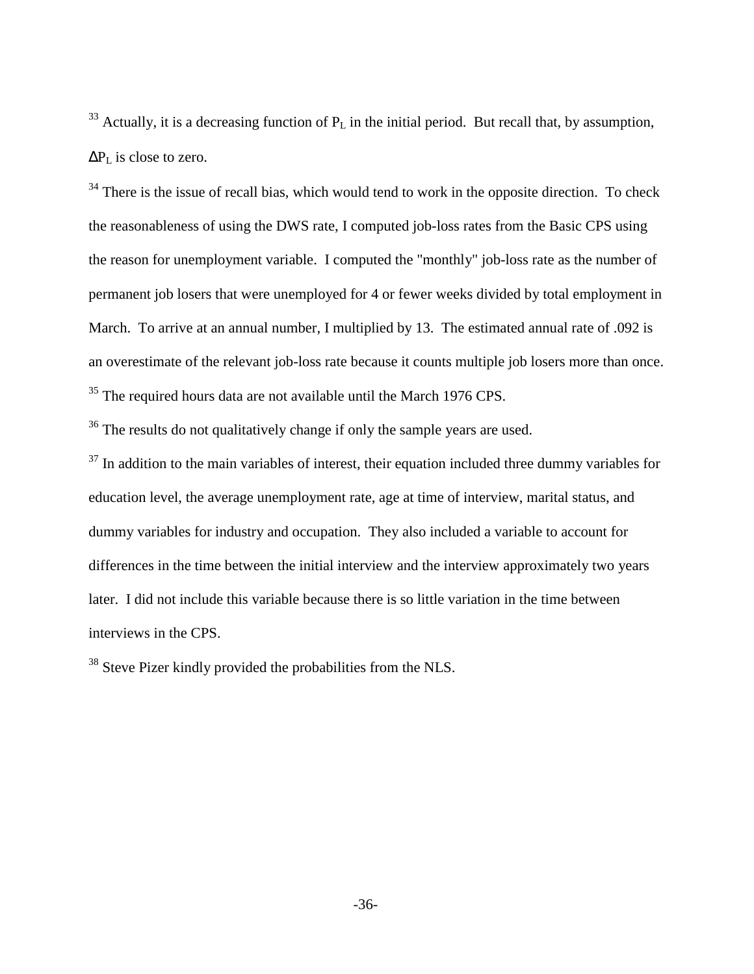<span id="page-38-0"></span> $33$  Actually, it is a decreasing function of  $P<sub>L</sub>$  in the initial period. But recall that, by assumption,  $\Delta P_L$  is close to zero.

<sup>34</sup> There is the issue of recall bias, which would tend to work in the opposite direction. To check the reasonableness of using the DWS rate, I computed job-loss rates from the Basic CPS using the reason for unemployment variable. I computed the "monthly" job-loss rate as the number of permanent job losers that were unemployed for 4 or fewer weeks divided by total employment in March. To arrive at an annual number, I multiplied by 13. The estimated annual rate of .092 is an overestimate of the relevant job-loss rate because it counts multiple job losers more than once. <sup>35</sup> The required hours data are not available until the March 1976 CPS.

<sup>36</sup> The results do not qualitatively change if only the sample years are used.

 $37$  In addition to the main variables of interest, their equation included three dummy variables for education level, the average unemployment rate, age at time of interview, marital status, and dummy variables for industry and occupation. They also included a variable to account for differences in the time between the initial interview and the interview approximately two years later. I did not include this variable because there is so little variation in the time between interviews in the CPS.

<sup>38</sup> Steve Pizer kindly provided the probabilities from the NLS.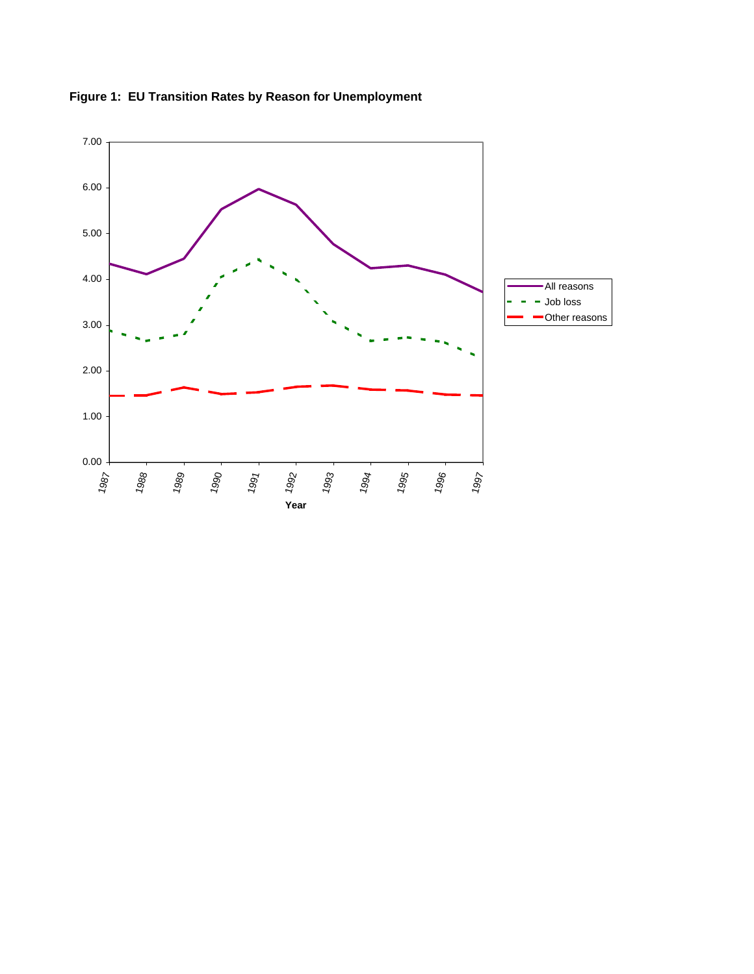

**Figure 1: EU Transition Rates by Reason for Unemployment**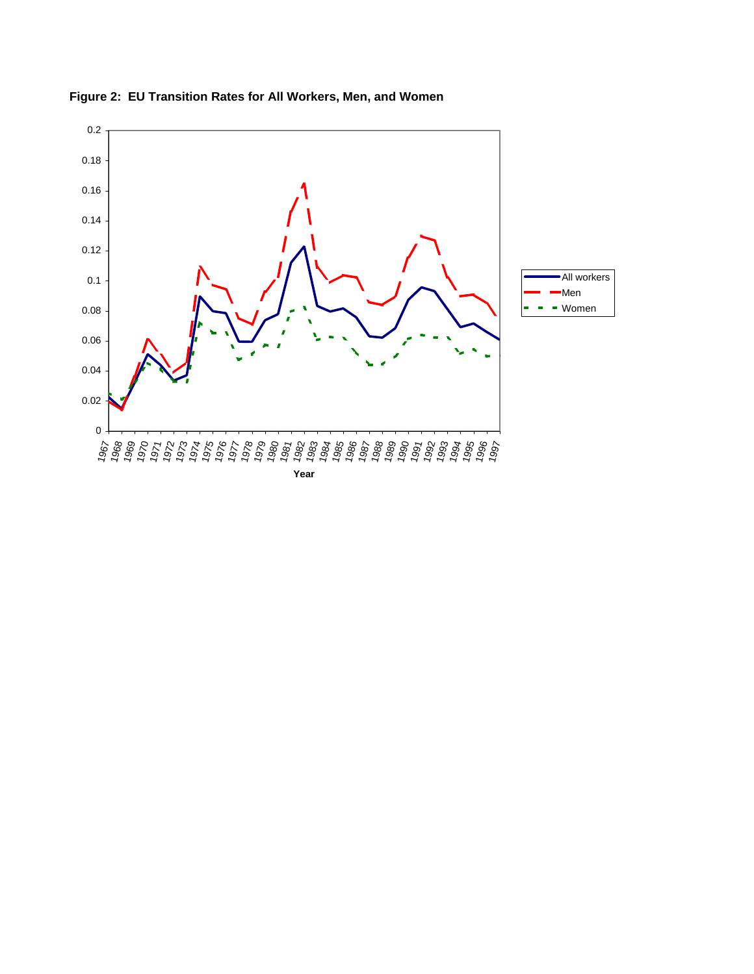

**Figure 2: EU Transition Rates for All Workers, Men, and Women**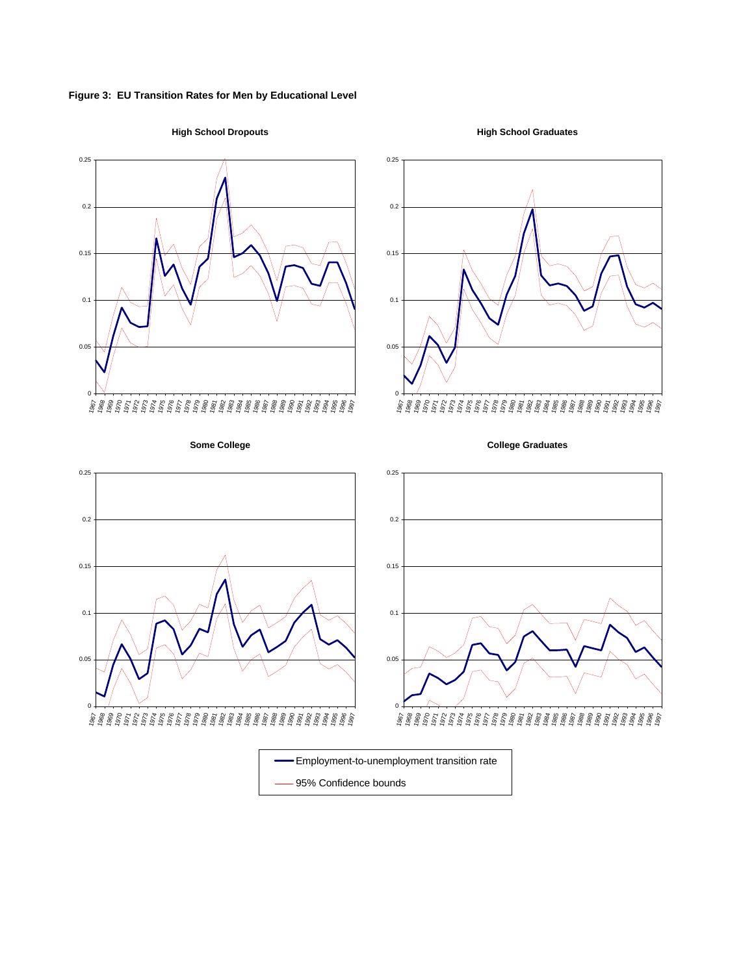**Figure 3: EU Transition Rates for Men by Educational Level**









**Some College**





95% Confidence bounds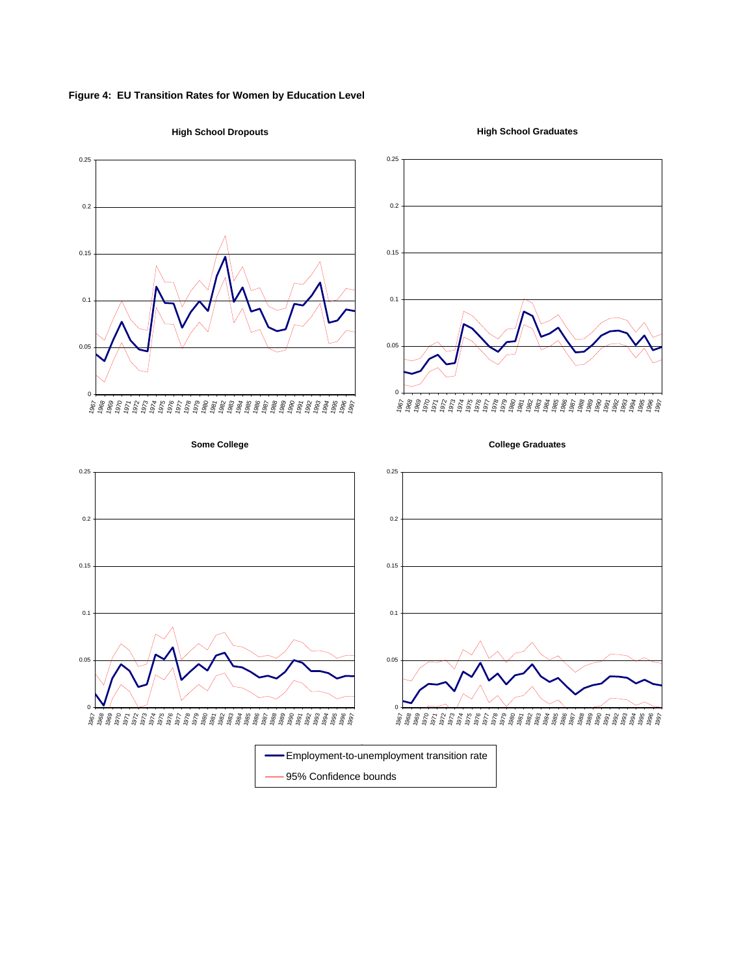



**High School Dropouts**

**High School Graduates**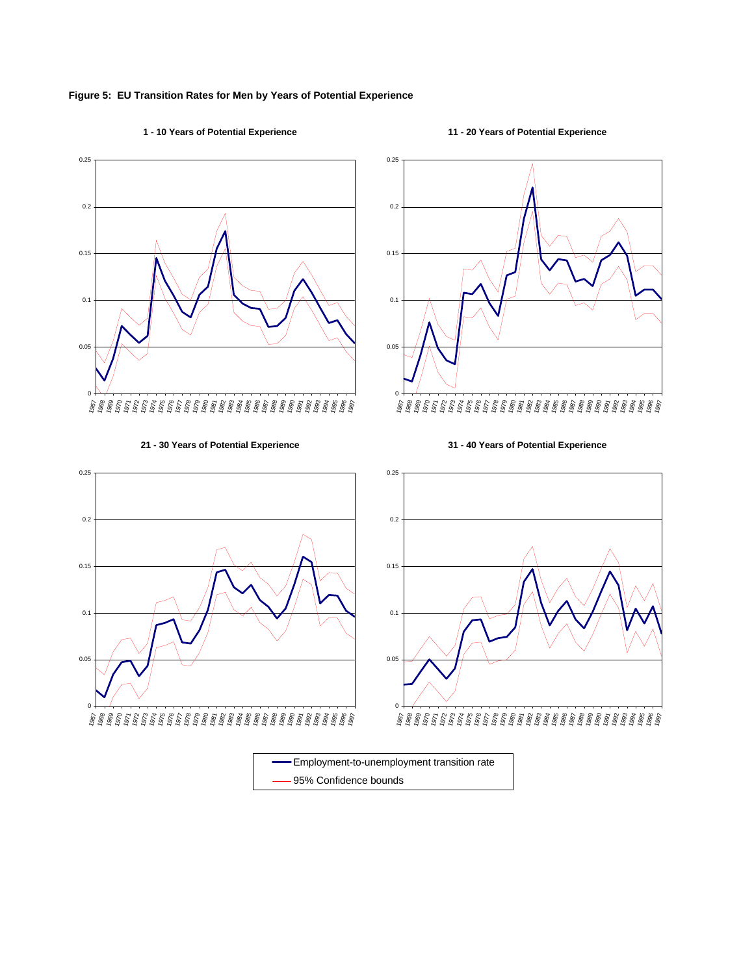#### **Figure 5: EU Transition Rates for Men by Years of Potential Experience**

#### **1 - 10 Years of Potential Experience**

#### **11 - 20 Years of Potential Experience**



# 0 0.05 0.1 0.15 0.2 0.25 1967 1968 1969 1970 1971 1972 1973 1974 1975 1976 1977 1978 1979 1980 1981 1982 1983 1984 1985 1986 1987 1988 1989 1990 1991 1992 1993 1994 1995 1996 1997

**31 - 40 Years of Potential Experience**

#### **21 - 30 Years of Potential Experience**



95% Confidence bounds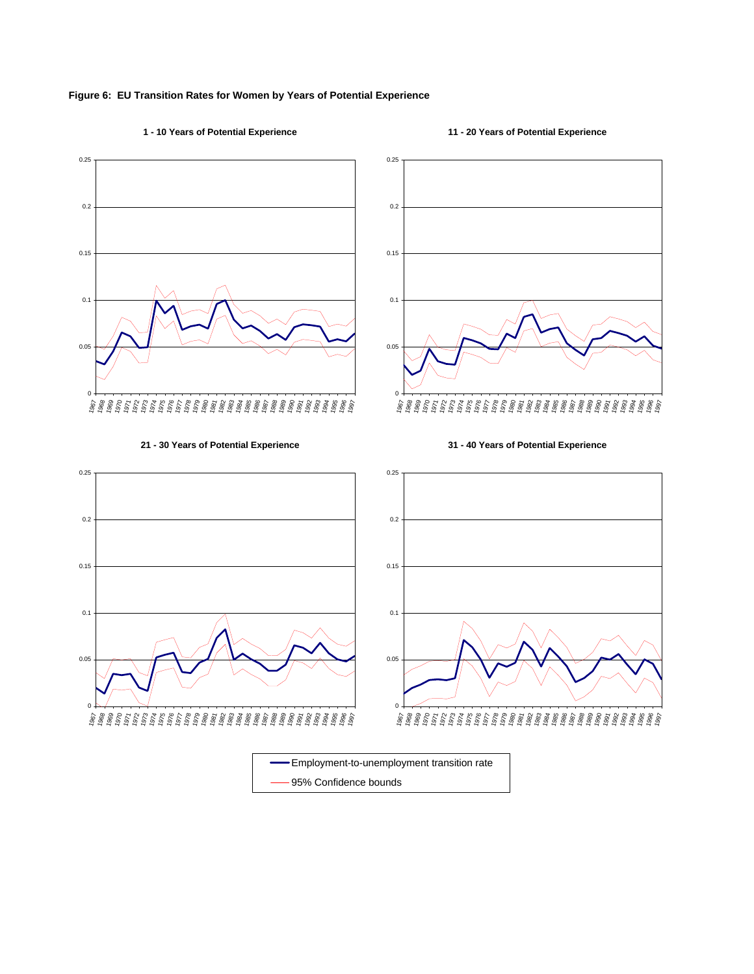

#### **1 - 10 Years of Potential Experience**

#### **11 - 20 Years of Potential Experience**





#### **21 - 30 Years of Potential Experience**





95% Confidence bounds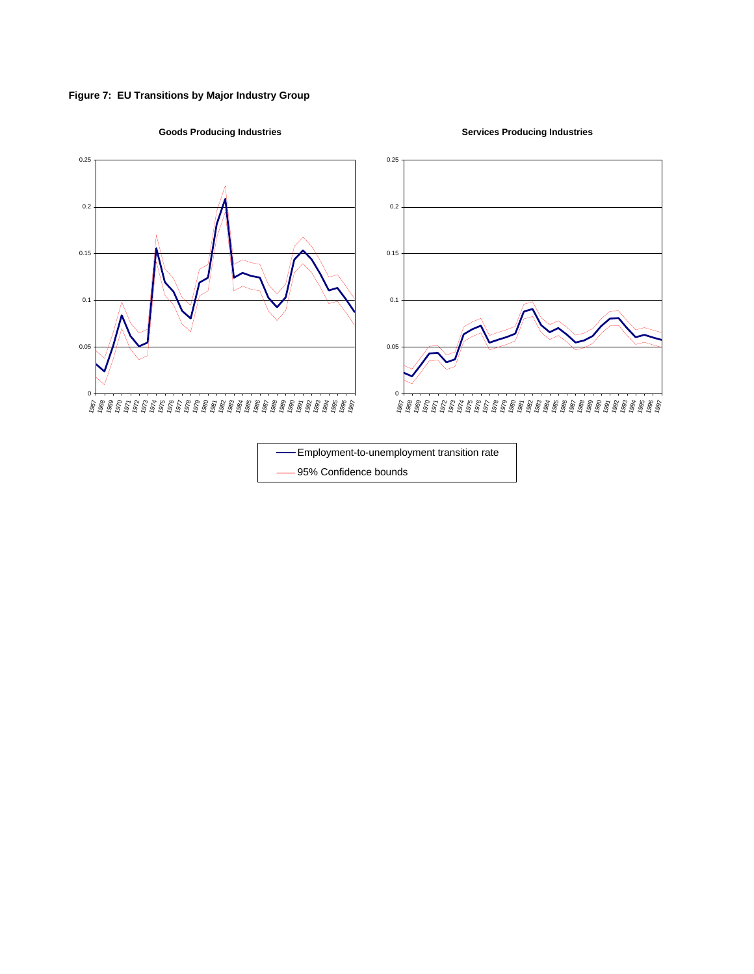



## **Goods Producing Industries**

**Services Producing Industries**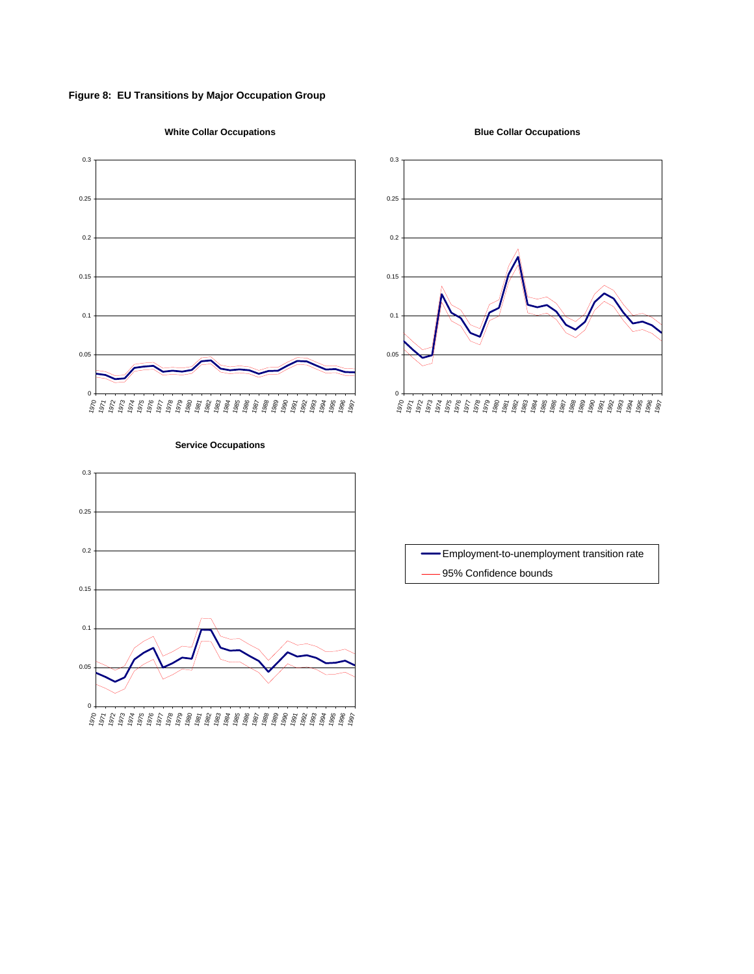**Figure 8: EU Transitions by Major Occupation Group**

#### **White Collar Occupations**







#### **Service Occupations**



Employment-to-unemployment transition rate 95% Confidence bounds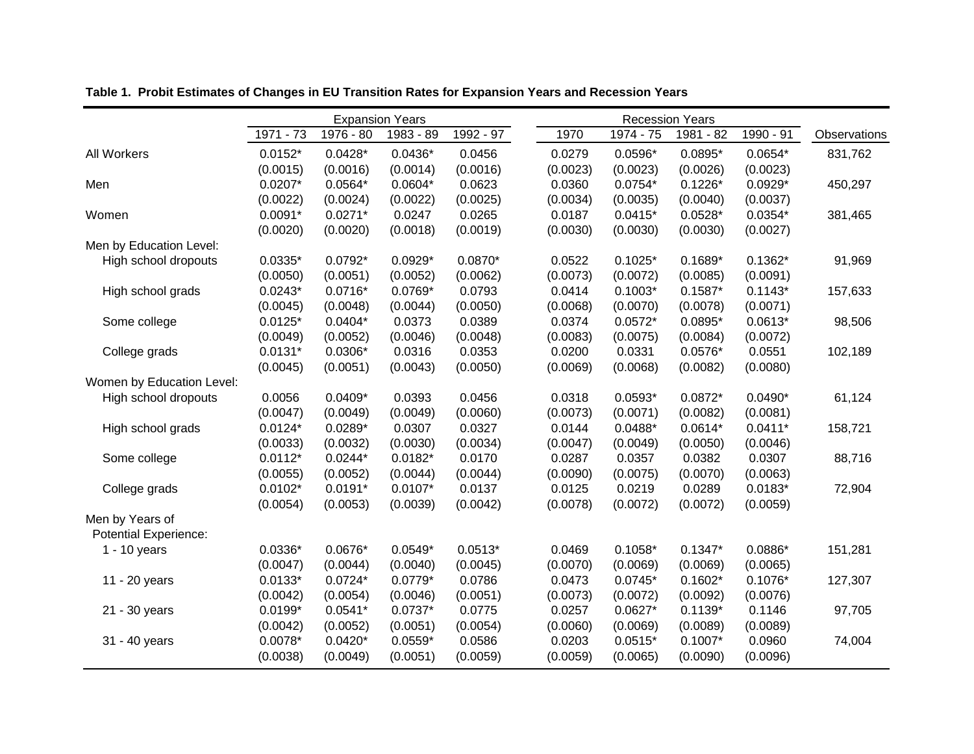|                           | <b>Expansion Years</b> |           |           | <b>Recession Years</b> |          |           |           |           |              |
|---------------------------|------------------------|-----------|-----------|------------------------|----------|-----------|-----------|-----------|--------------|
|                           | $1971 - 73$            | 1976 - 80 | 1983 - 89 | 1992 - 97              | 1970     | 1974 - 75 | 1981 - 82 | 1990 - 91 | Observations |
| All Workers               | $0.0152*$              | $0.0428*$ | $0.0436*$ | 0.0456                 | 0.0279   | $0.0596*$ | $0.0895*$ | $0.0654*$ | 831,762      |
|                           | (0.0015)               | (0.0016)  | (0.0014)  | (0.0016)               | (0.0023) | (0.0023)  | (0.0026)  | (0.0023)  |              |
| Men                       | $0.0207*$              | $0.0564*$ | $0.0604*$ | 0.0623                 | 0.0360   | $0.0754*$ | $0.1226*$ | $0.0929*$ | 450,297      |
|                           | (0.0022)               | (0.0024)  | (0.0022)  | (0.0025)               | (0.0034) | (0.0035)  | (0.0040)  | (0.0037)  |              |
| Women                     | $0.0091*$              | $0.0271*$ | 0.0247    | 0.0265                 | 0.0187   | $0.0415*$ | $0.0528*$ | $0.0354*$ | 381,465      |
|                           | (0.0020)               | (0.0020)  | (0.0018)  | (0.0019)               | (0.0030) | (0.0030)  | (0.0030)  | (0.0027)  |              |
| Men by Education Level:   |                        |           |           |                        |          |           |           |           |              |
| High school dropouts      | $0.0335*$              | $0.0792*$ | $0.0929*$ | $0.0870*$              | 0.0522   | $0.1025*$ | $0.1689*$ | $0.1362*$ | 91,969       |
|                           | (0.0050)               | (0.0051)  | (0.0052)  | (0.0062)               | (0.0073) | (0.0072)  | (0.0085)  | (0.0091)  |              |
| High school grads         | $0.0243*$              | $0.0716*$ | $0.0769*$ | 0.0793                 | 0.0414   | $0.1003*$ | $0.1587*$ | $0.1143*$ | 157,633      |
|                           | (0.0045)               | (0.0048)  | (0.0044)  | (0.0050)               | (0.0068) | (0.0070)  | (0.0078)  | (0.0071)  |              |
| Some college              | $0.0125*$              | $0.0404*$ | 0.0373    | 0.0389                 | 0.0374   | $0.0572*$ | $0.0895*$ | $0.0613*$ | 98,506       |
|                           | (0.0049)               | (0.0052)  | (0.0046)  | (0.0048)               | (0.0083) | (0.0075)  | (0.0084)  | (0.0072)  |              |
| College grads             | $0.0131*$              | $0.0306*$ | 0.0316    | 0.0353                 | 0.0200   | 0.0331    | $0.0576*$ | 0.0551    | 102,189      |
|                           | (0.0045)               | (0.0051)  | (0.0043)  | (0.0050)               | (0.0069) | (0.0068)  | (0.0082)  | (0.0080)  |              |
| Women by Education Level: |                        |           |           |                        |          |           |           |           |              |
| High school dropouts      | 0.0056                 | $0.0409*$ | 0.0393    | 0.0456                 | 0.0318   | $0.0593*$ | $0.0872*$ | $0.0490*$ | 61,124       |
|                           | (0.0047)               | (0.0049)  | (0.0049)  | (0.0060)               | (0.0073) | (0.0071)  | (0.0082)  | (0.0081)  |              |
| High school grads         | $0.0124*$              | $0.0289*$ | 0.0307    | 0.0327                 | 0.0144   | $0.0488*$ | $0.0614*$ | $0.0411*$ | 158,721      |
|                           | (0.0033)               | (0.0032)  | (0.0030)  | (0.0034)               | (0.0047) | (0.0049)  | (0.0050)  | (0.0046)  |              |
| Some college              | $0.0112*$              | $0.0244*$ | $0.0182*$ | 0.0170                 | 0.0287   | 0.0357    | 0.0382    | 0.0307    | 88,716       |
|                           | (0.0055)               | (0.0052)  | (0.0044)  | (0.0044)               | (0.0090) | (0.0075)  | (0.0070)  | (0.0063)  |              |
| College grads             | $0.0102*$              | $0.0191*$ | $0.0107*$ | 0.0137                 | 0.0125   | 0.0219    | 0.0289    | $0.0183*$ | 72,904       |
|                           | (0.0054)               | (0.0053)  | (0.0039)  | (0.0042)               | (0.0078) | (0.0072)  | (0.0072)  | (0.0059)  |              |
| Men by Years of           |                        |           |           |                        |          |           |           |           |              |
| Potential Experience:     |                        |           |           |                        |          |           |           |           |              |
| $1 - 10$ years            | $0.0336*$              | 0.0676*   | $0.0549*$ | $0.0513*$              | 0.0469   | $0.1058*$ | $0.1347*$ | 0.0886*   | 151,281      |
|                           | (0.0047)               | (0.0044)  | (0.0040)  | (0.0045)               | (0.0070) | (0.0069)  | (0.0069)  | (0.0065)  |              |
| 11 - 20 years             | $0.0133*$              | $0.0724*$ | $0.0779*$ | 0.0786                 | 0.0473   | $0.0745*$ | $0.1602*$ | $0.1076*$ | 127,307      |
|                           | (0.0042)               | (0.0054)  | (0.0046)  | (0.0051)               | (0.0073) | (0.0072)  | (0.0092)  | (0.0076)  |              |
| 21 - 30 years             | $0.0199*$              | $0.0541*$ | $0.0737*$ | 0.0775                 | 0.0257   | $0.0627*$ | $0.1139*$ | 0.1146    | 97,705       |
|                           | (0.0042)               | (0.0052)  | (0.0051)  | (0.0054)               | (0.0060) | (0.0069)  | (0.0089)  | (0.0089)  |              |
| 31 - 40 years             | $0.0078*$              | $0.0420*$ | $0.0559*$ | 0.0586                 | 0.0203   | $0.0515*$ | $0.1007*$ | 0.0960    | 74,004       |
|                           | (0.0038)               | (0.0049)  | (0.0051)  | (0.0059)               | (0.0059) | (0.0065)  | (0.0090)  | (0.0096)  |              |
|                           |                        |           |           |                        |          |           |           |           |              |

**Table 1. Probit Estimates of Changes in EU Transition Rates for Expansion Years and Recession Years**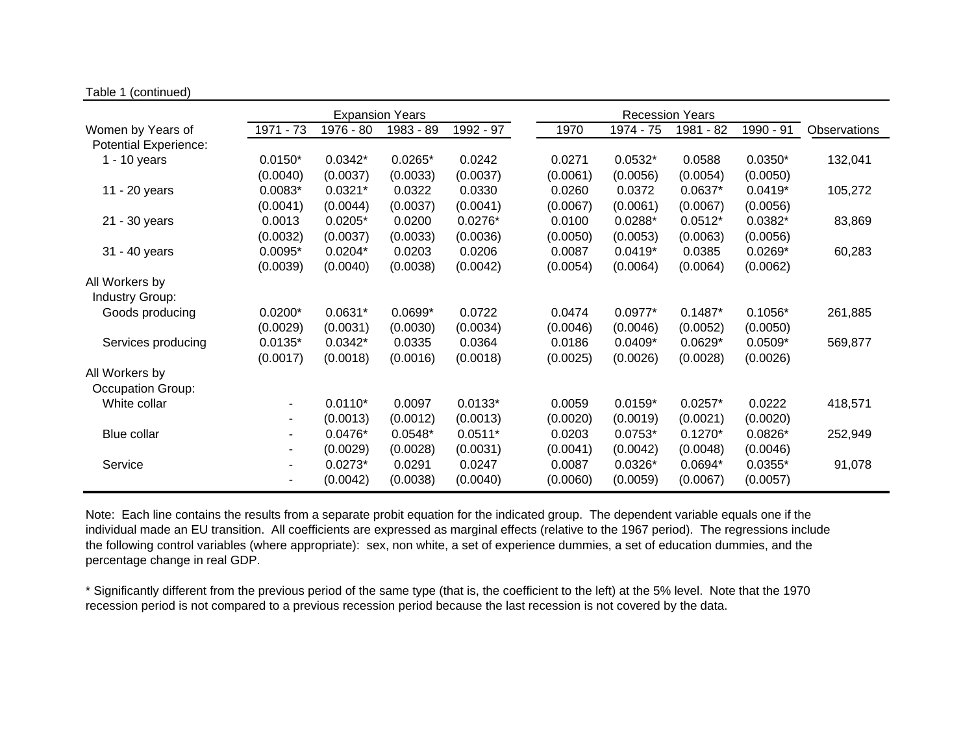|                              | <b>Expansion Years</b> |           |           | <b>Recession Years</b> |          |           |           |           |              |
|------------------------------|------------------------|-----------|-----------|------------------------|----------|-----------|-----------|-----------|--------------|
| Women by Years of            | 1971 - 73              | 1976 - 80 | 1983 - 89 | 1992 - 97              | 1970     | 1974 - 75 | 1981 - 82 | 1990 - 91 | Observations |
| <b>Potential Experience:</b> |                        |           |           |                        |          |           |           |           |              |
| $1 - 10$ years               | $0.0150*$              | $0.0342*$ | $0.0265*$ | 0.0242                 | 0.0271   | $0.0532*$ | 0.0588    | $0.0350*$ | 132,041      |
|                              | (0.0040)               | (0.0037)  | (0.0033)  | (0.0037)               | (0.0061) | (0.0056)  | (0.0054)  | (0.0050)  |              |
| 11 - 20 years                | $0.0083*$              | $0.0321*$ | 0.0322    | 0.0330                 | 0.0260   | 0.0372    | $0.0637*$ | $0.0419*$ | 105,272      |
|                              | (0.0041)               | (0.0044)  | (0.0037)  | (0.0041)               | (0.0067) | (0.0061)  | (0.0067)  | (0.0056)  |              |
| 21 - 30 years                | 0.0013                 | $0.0205*$ | 0.0200    | $0.0276*$              | 0.0100   | $0.0288*$ | $0.0512*$ | $0.0382*$ | 83,869       |
|                              | (0.0032)               | (0.0037)  | (0.0033)  | (0.0036)               | (0.0050) | (0.0053)  | (0.0063)  | (0.0056)  |              |
| 31 - 40 years                | $0.0095*$              | $0.0204*$ | 0.0203    | 0.0206                 | 0.0087   | $0.0419*$ | 0.0385    | $0.0269*$ | 60,283       |
|                              | (0.0039)               | (0.0040)  | (0.0038)  | (0.0042)               | (0.0054) | (0.0064)  | (0.0064)  | (0.0062)  |              |
| All Workers by               |                        |           |           |                        |          |           |           |           |              |
| <b>Industry Group:</b>       |                        |           |           |                        |          |           |           |           |              |
| Goods producing              | $0.0200*$              | $0.0631*$ | $0.0699*$ | 0.0722                 | 0.0474   | $0.0977*$ | $0.1487*$ | $0.1056*$ | 261,885      |
|                              | (0.0029)               | (0.0031)  | (0.0030)  | (0.0034)               | (0.0046) | (0.0046)  | (0.0052)  | (0.0050)  |              |
| Services producing           | $0.0135*$              | $0.0342*$ | 0.0335    | 0.0364                 | 0.0186   | $0.0409*$ | $0.0629*$ | $0.0509*$ | 569,877      |
|                              | (0.0017)               | (0.0018)  | (0.0016)  | (0.0018)               | (0.0025) | (0.0026)  | (0.0028)  | (0.0026)  |              |
| All Workers by               |                        |           |           |                        |          |           |           |           |              |
| Occupation Group:            |                        |           |           |                        |          |           |           |           |              |
| White collar                 | ۰.                     | $0.0110*$ | 0.0097    | $0.0133*$              | 0.0059   | $0.0159*$ | $0.0257*$ | 0.0222    | 418,571      |
|                              | ۰.                     | (0.0013)  | (0.0012)  | (0.0013)               | (0.0020) | (0.0019)  | (0.0021)  | (0.0020)  |              |
| Blue collar                  | ۰.                     | $0.0476*$ | $0.0548*$ | $0.0511*$              | 0.0203   | $0.0753*$ | $0.1270*$ | $0.0826*$ | 252,949      |
|                              | ۰.                     | (0.0029)  | (0.0028)  | (0.0031)               | (0.0041) | (0.0042)  | (0.0048)  | (0.0046)  |              |
| Service                      | ٠                      | $0.0273*$ | 0.0291    | 0.0247                 | 0.0087   | $0.0326*$ | 0.0694*   | $0.0355*$ | 91,078       |
|                              | ۰                      | (0.0042)  | (0.0038)  | (0.0040)               | (0.0060) | (0.0059)  | (0.0067)  | (0.0057)  |              |

Table 1 (continued)

Note: Each line contains the results from a separate probit equation for the indicated group. The dependent variable equals one if the individual made an EU transition. All coefficients are expressed as marginal effects (relative to the 1967 period). The regressions include the following control variables (where appropriate): sex, non white, a set of experience dummies, a set of education dummies, and the percentage change in real GDP.

\* Significantly different from the previous period of the same type (that is, the coefficient to the left) at the 5% level. Note that the 1970 recession period is not compared to a previous recession period because the last recession is not covered by the data.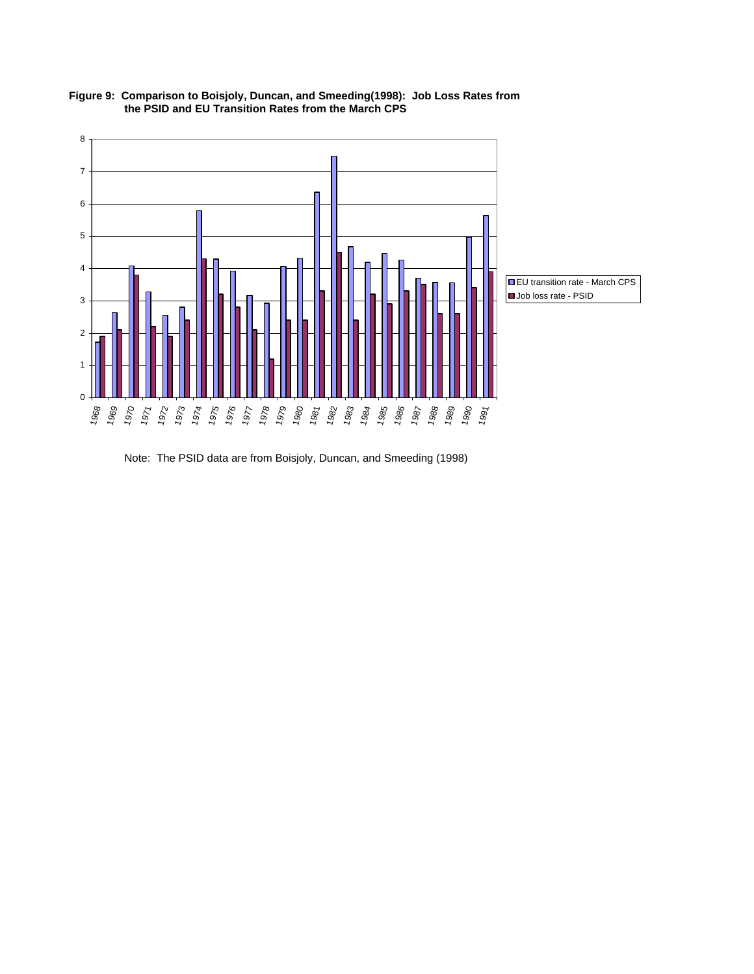

**Figure 9: Comparison to Boisjoly, Duncan, and Smeeding(1998): Job Loss Rates from the PSID and EU Transition Rates from the March CPS**

Note: The PSID data are from Boisjoly, Duncan, and Smeeding (1998)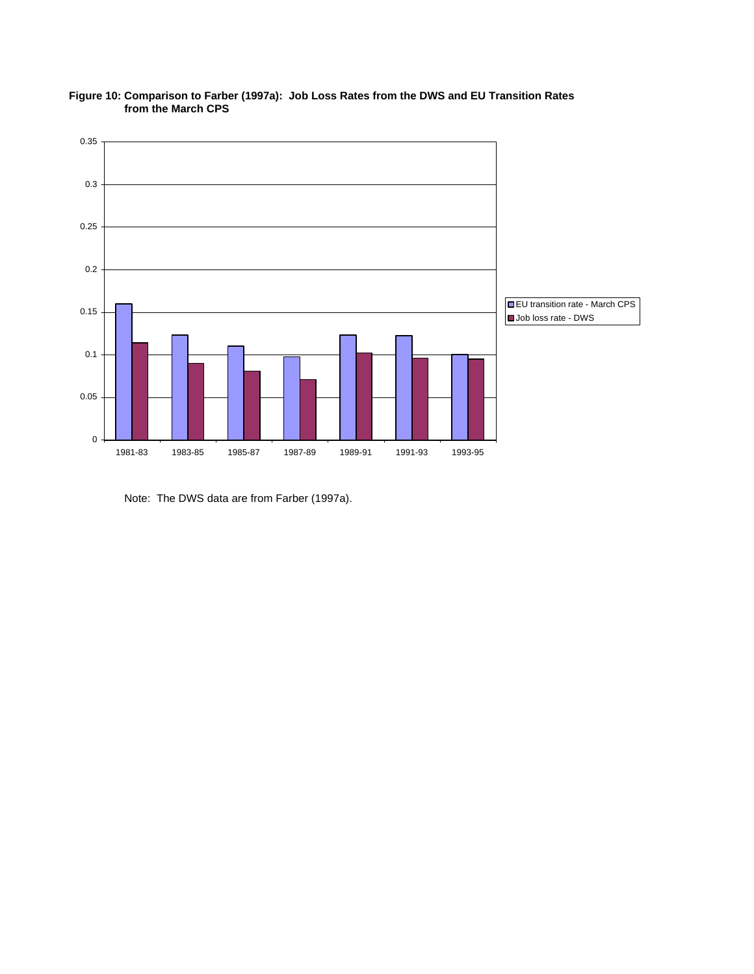

**Figure 10: Comparison to Farber (1997a): Job Loss Rates from the DWS and EU Transition Rates from the March CPS**

Note: The DWS data are from Farber (1997a).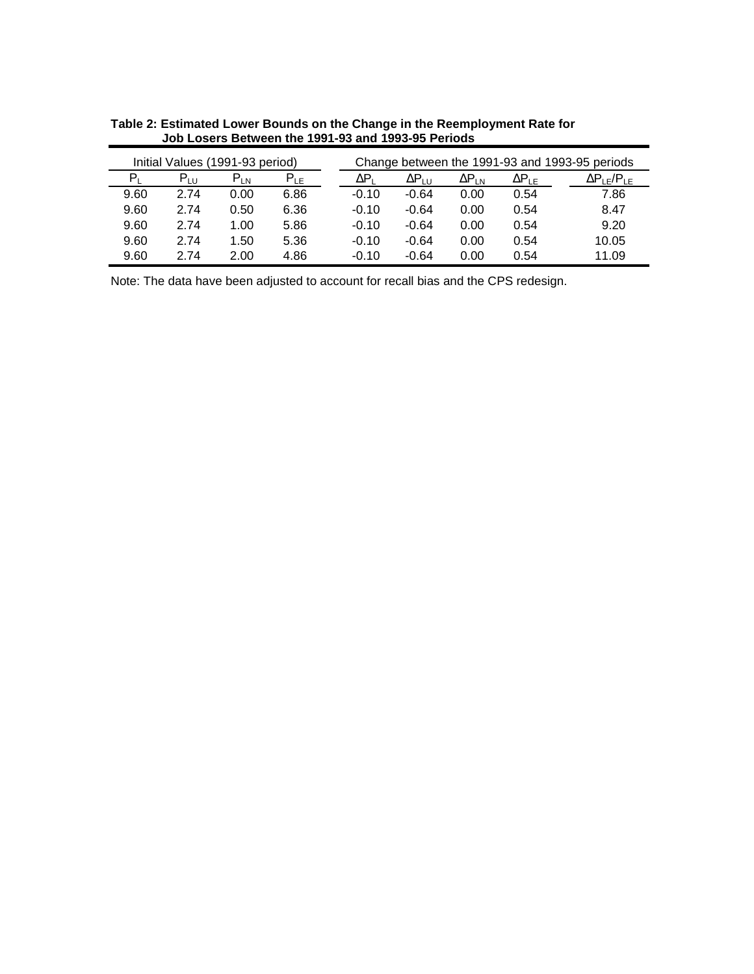| Initial Values (1991-93 period) |              |          |          | Change between the 1991-93 and 1993-95 periods |                  |                 |                        |                        |  |  |
|---------------------------------|--------------|----------|----------|------------------------------------------------|------------------|-----------------|------------------------|------------------------|--|--|
| P,                              | $P_{\rm HI}$ | $P_{LN}$ | $P_{LE}$ | ΔPι                                            | ΔP <sub>LU</sub> | $\Delta P_{LN}$ | $\Delta P_{\text{LE}}$ | $\Delta P_{LE}/P_{LE}$ |  |  |
| 9.60                            | 2.74         | 0.00     | 6.86     | $-0.10$                                        | $-0.64$          | 0.00            | 0.54                   | 7.86                   |  |  |
| 9.60                            | 2.74         | 0.50     | 6.36     | $-0.10$                                        | $-0.64$          | 0.00            | 0.54                   | 8.47                   |  |  |
| 9.60                            | 2.74         | 1.00     | 5.86     | $-0.10$                                        | $-0.64$          | 0.00            | 0.54                   | 9.20                   |  |  |
| 9.60                            | 2.74         | 1.50     | 5.36     | $-0.10$                                        | $-0.64$          | 0.00            | 0.54                   | 10.05                  |  |  |
| 9.60                            | 2.74         | 2.00     | 4.86     | $-0.10$                                        | $-0.64$          | 0.00            | 0.54                   | 11.09                  |  |  |

**Table 2: Estimated Lower Bounds on the Change in the Reemployment Rate for Job Losers Between the 1991-93 and 1993-95 Periods**

Note: The data have been adjusted to account for recall bias and the CPS redesign.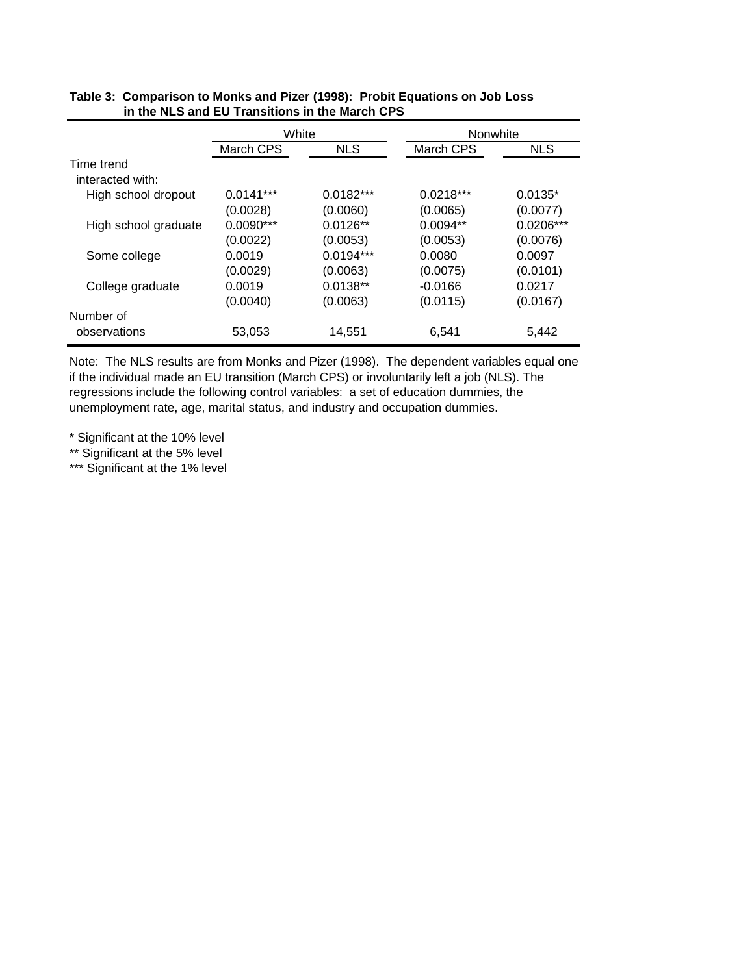|                      | White                   |             |             | Nonwhite    |  |  |  |
|----------------------|-------------------------|-------------|-------------|-------------|--|--|--|
|                      | <b>NLS</b><br>March CPS |             | March CPS   | NLS.        |  |  |  |
| Time trend           |                         |             |             |             |  |  |  |
| interacted with:     |                         |             |             |             |  |  |  |
| High school dropout  | $0.0141***$             | $0.0182***$ | $0.0218***$ | $0.0135*$   |  |  |  |
|                      | (0.0028)                | (0.0060)    | (0.0065)    | (0.0077)    |  |  |  |
| High school graduate | $0.0090***$             | $0.0126**$  | $0.0094**$  | $0.0206***$ |  |  |  |
|                      | (0.0022)                | (0.0053)    | (0.0053)    | (0.0076)    |  |  |  |
| Some college         | 0.0019                  | $0.0194***$ | 0.0080      | 0.0097      |  |  |  |
|                      | (0.0029)                | (0.0063)    | (0.0075)    | (0.0101)    |  |  |  |
| College graduate     | 0.0019                  | $0.0138**$  | $-0.0166$   | 0.0217      |  |  |  |
|                      | (0.0040)                | (0.0063)    | (0.0115)    | (0.0167)    |  |  |  |
| Number of            |                         |             |             |             |  |  |  |
| observations         | 53,053                  | 14,551      | 6,541       | 5,442       |  |  |  |

#### **Table 3: Comparison to Monks and Pizer (1998): Probit Equations on Job Loss in the NLS and EU Transitions in the March CPS**

Note: The NLS results are from Monks and Pizer (1998). The dependent variables equal one if the individual made an EU transition (March CPS) or involuntarily left a job (NLS). The regressions include the following control variables: a set of education dummies, the unemployment rate, age, marital status, and industry and occupation dummies.

\* Significant at the 10% level

\*\* Significant at the 5% level

\*\*\* Significant at the 1% level